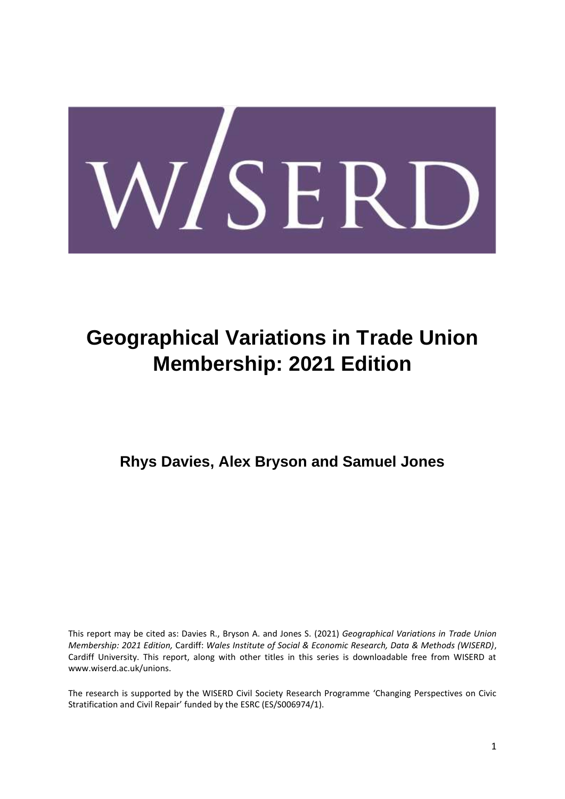

# **Geographical Variations in Trade Union Membership: 2021 Edition**

**Rhys Davies, Alex Bryson and Samuel Jones**

This report may be cited as: Davies R., Bryson A. and Jones S. (2021) *Geographical Variations in Trade Union Membership: 2021 Edition,* Cardiff: *Wales Institute of Social & Economic Research, Data & Methods (WISERD)*, Cardiff University. This report, along with other titles in this series is downloadable free from WISERD at www.wiserd.ac.uk/unions.

The research is supported by the WISERD Civil Society Research Programme 'Changing Perspectives on Civic Stratification and Civil Repair' funded by the ESRC (ES/S006974/1).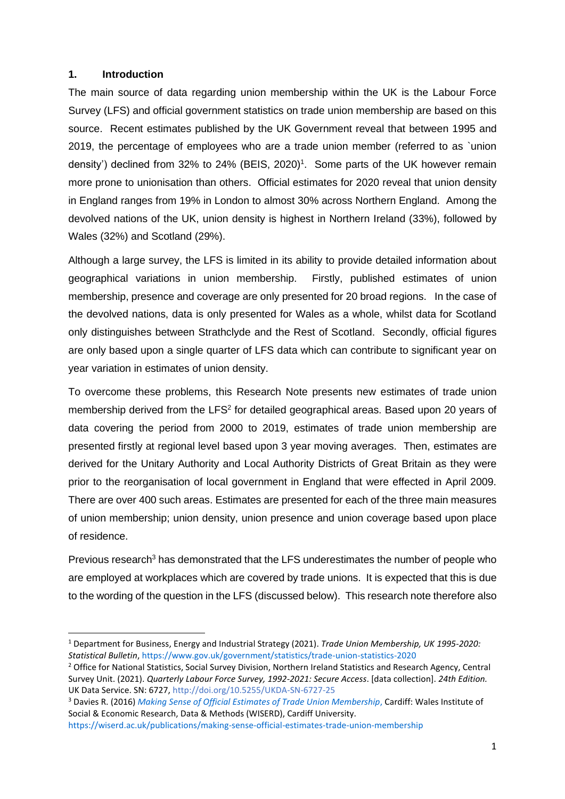## **1. Introduction**

The main source of data regarding union membership within the UK is the Labour Force Survey (LFS) and official government statistics on trade union membership are based on this source. Recent estimates published by the UK Government reveal that between 1995 and 2019, the percentage of employees who are a trade union member (referred to as `union density') declined from 32% to 24% (BEIS, 2020) 1 . Some parts of the UK however remain more prone to unionisation than others. Official estimates for 2020 reveal that union density in England ranges from 19% in London to almost 30% across Northern England. Among the devolved nations of the UK, union density is highest in Northern Ireland (33%), followed by Wales (32%) and Scotland (29%).

Although a large survey, the LFS is limited in its ability to provide detailed information about geographical variations in union membership. Firstly, published estimates of union membership, presence and coverage are only presented for 20 broad regions. In the case of the devolved nations, data is only presented for Wales as a whole, whilst data for Scotland only distinguishes between Strathclyde and the Rest of Scotland. Secondly, official figures are only based upon a single quarter of LFS data which can contribute to significant year on year variation in estimates of union density.

To overcome these problems, this Research Note presents new estimates of trade union membership derived from the LFS<sup>2</sup> for detailed geographical areas. Based upon 20 years of data covering the period from 2000 to 2019, estimates of trade union membership are presented firstly at regional level based upon 3 year moving averages. Then, estimates are derived for the Unitary Authority and Local Authority Districts of Great Britain as they were prior to the reorganisation of local government in England that were effected in April 2009. There are over 400 such areas. Estimates are presented for each of the three main measures of union membership; union density, union presence and union coverage based upon place of residence.

Previous research<sup>3</sup> has demonstrated that the LFS underestimates the number of people who are employed at workplaces which are covered by trade unions. It is expected that this is due to the wording of the question in the LFS (discussed below). This research note therefore also

<sup>1</sup> Department for Business, Energy and Industrial Strategy (2021). *Trade Union Membership, UK 1995-2020: Statistical Bulletin*[, https://www.gov.uk/government/statistics/trade-union-statistics-2020](https://www.gov.uk/government/statistics/trade-union-statistics-2020)

<sup>&</sup>lt;sup>2</sup> Office for National Statistics, Social Survey Division, Northern Ireland Statistics and Research Agency, Central Survey Unit. (2021). *Quarterly Labour Force Survey, 1992-2021: Secure Access*. [data collection]. *24th Edition.*  UK Data Service. SN: 6727, <http://doi.org/10.5255/UKDA-SN-6727-25>

<sup>3</sup> Davies R. (2016) *[Making Sense of Official Estimates of Trade Union Membership](https://wiserd.ac.uk/publications/making-sense-official-estimates-trade-union-membership)*, Cardiff: Wales Institute of Social & Economic Research, Data & Methods (WISERD), Cardiff University.

<https://wiserd.ac.uk/publications/making-sense-official-estimates-trade-union-membership>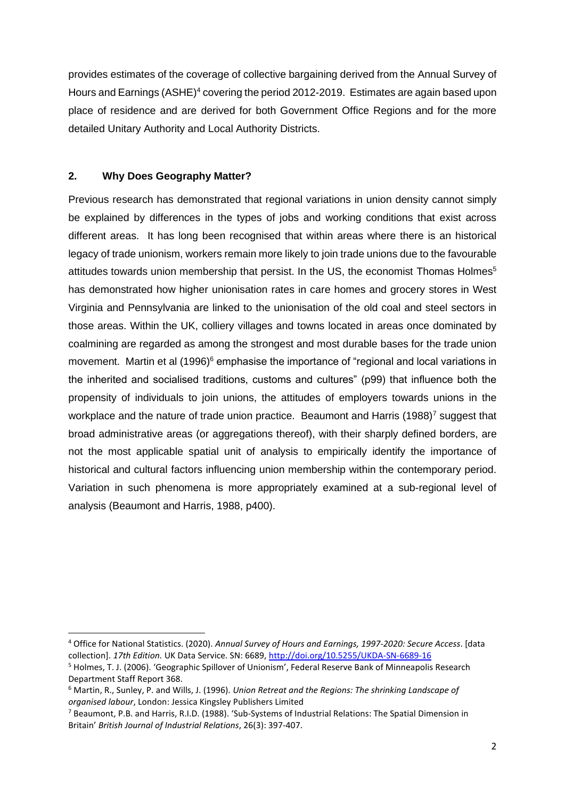provides estimates of the coverage of collective bargaining derived from the Annual Survey of Hours and Earnings (ASHE)<sup>4</sup> covering the period 2012-2019. Estimates are again based upon place of residence and are derived for both Government Office Regions and for the more detailed Unitary Authority and Local Authority Districts.

# **2. Why Does Geography Matter?**

Previous research has demonstrated that regional variations in union density cannot simply be explained by differences in the types of jobs and working conditions that exist across different areas. It has long been recognised that within areas where there is an historical legacy of trade unionism, workers remain more likely to join trade unions due to the favourable attitudes towards union membership that persist. In the US, the economist [Thomas Holmes](https://www.minneapolisfed.org/research/sr/sr368.pdf)<sup>5</sup> has demonstrated how higher unionisation rates in care homes and grocery stores in West Virginia and Pennsylvania are linked to the unionisation of the old coal and steel sectors in those areas. Within the UK, colliery villages and towns located in areas once dominated by coalmining are regarded as among the strongest and most durable bases for the trade union movement. Martin et al (1996)<sup>6</sup> emphasise the importance of "regional and local variations in the inherited and socialised traditions, customs and cultures" (p99) that influence both the propensity of individuals to join unions, the attitudes of employers towards unions in the workplace and the nature of trade union practice. Beaumont and Harris (1988)<sup>7</sup> suggest that broad administrative areas (or aggregations thereof), with their sharply defined borders, are not the most applicable spatial unit of analysis to empirically identify the importance of historical and cultural factors influencing union membership within the contemporary period. Variation in such phenomena is more appropriately examined at a sub-regional level of analysis (Beaumont and Harris, 1988, p400).

<sup>4</sup> Office for National Statistics. (2020). *Annual Survey of Hours and Earnings, 1997-2020: Secure Access*. [data collection]. *17th Edition.* UK Data Service. SN: 6689,<http://doi.org/10.5255/UKDA-SN-6689-16>

<sup>5</sup> Holmes, T. J. (2006). 'Geographic Spillover of Unionism', Federal Reserve Bank of Minneapolis Research Department Staff Report 368.

<sup>6</sup> Martin, R., Sunley, P. and Wills, J. (1996). *Union Retreat and the Regions: The shrinking Landscape of organised labour*, London: Jessica Kingsley Publishers Limited

<sup>7</sup> Beaumont, P.B. and Harris, R.I.D. (1988). 'Sub‐Systems of Industrial Relations: The Spatial Dimension in Britain' *British Journal of Industrial Relations*, 26(3): 397-407.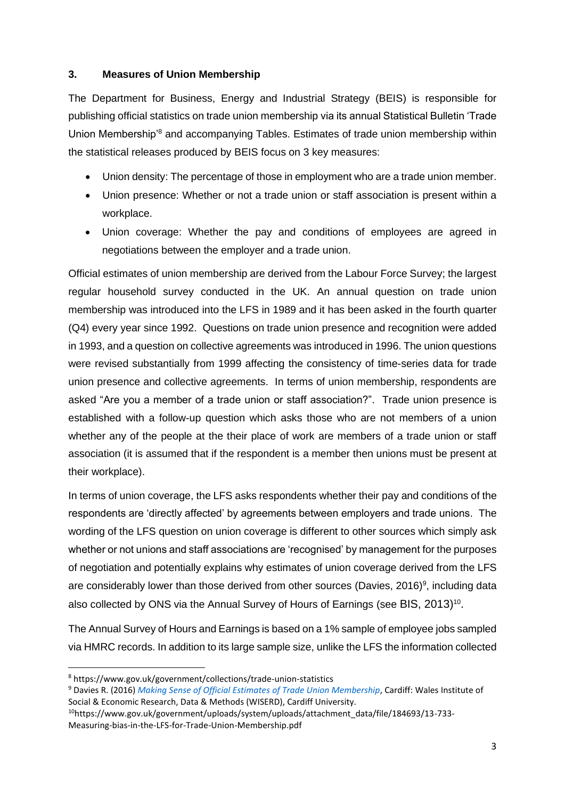# **3. Measures of Union Membership**

The Department for Business, Energy and Industrial Strategy (BEIS) is responsible for publishing official statistics on trade union membership via its annual Statistical Bulletin 'Trade Union Membership'<sup>8</sup> and accompanying Tables. Estimates of trade union membership within the statistical releases produced by BEIS focus on 3 key measures:

- Union density: The percentage of those in employment who are a trade union member.
- Union presence: Whether or not a trade union or staff association is present within a workplace.
- Union coverage: Whether the pay and conditions of employees are agreed in negotiations between the employer and a trade union.

Official estimates of union membership are derived from the Labour Force Survey; the largest regular household survey conducted in the UK. An annual question on trade union membership was introduced into the LFS in 1989 and it has been asked in the fourth quarter (Q4) every year since 1992. Questions on trade union presence and recognition were added in 1993, and a question on collective agreements was introduced in 1996. The union questions were revised substantially from 1999 affecting the consistency of time-series data for trade union presence and collective agreements. In terms of union membership, respondents are asked "Are you a member of a trade union or staff association?". Trade union presence is established with a follow-up question which asks those who are not members of a union whether any of the people at the their place of work are members of a trade union or staff association (it is assumed that if the respondent is a member then unions must be present at their workplace).

In terms of union coverage, the LFS asks respondents whether their pay and conditions of the respondents are 'directly affected' by agreements between employers and trade unions. The wording of the LFS question on union coverage is different to other sources which simply ask whether or not unions and staff associations are 'recognised' by management for the purposes of negotiation and potentially explains why estimates of union coverage derived from the LFS are considerably lower than those derived from other sources (Davies, 2016)<sup>9</sup>, including data also collected by ONS via the Annual Survey of Hours of Earnings (see BIS,  $2013$ )<sup>10</sup>.

The Annual Survey of Hours and Earnings is based on a 1% sample of employee jobs sampled via HMRC records. In addition to its large sample size, unlike the LFS the information collected

<sup>8</sup> https://www.gov.uk/government/collections/trade-union-statistics

<sup>9</sup> Davies R. (2016) *[Making Sense of Official Estimates](https://wiserd.ac.uk/publications/making-sense-official-estimates-trade-union-membership) of Trade Union Membership*, Cardiff: Wales Institute of Social & Economic Research, Data & Methods (WISERD), Cardiff University.

<sup>&</sup>lt;sup>10</sup>https://www.gov.uk/government/uploads/system/uploads/attachment\_data/file/184693/13-733-Measuring-bias-in-the-LFS-for-Trade-Union-Membership.pdf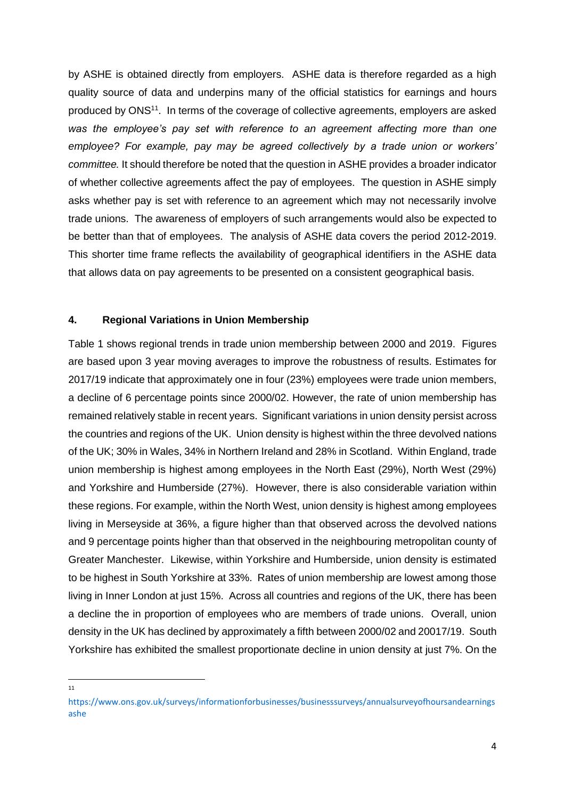by ASHE is obtained directly from employers. ASHE data is therefore regarded as a high quality source of data and underpins many of the official statistics for earnings and hours produced by ONS<sup>11</sup>. In terms of the coverage of collective agreements, employers are asked *was the employee's pay set with reference to an agreement affecting more than one employee? For example, pay may be agreed collectively by a trade union or workers' committee.* It should therefore be noted that the question in ASHE provides a broader indicator of whether collective agreements affect the pay of employees. The question in ASHE simply asks whether pay is set with reference to an agreement which may not necessarily involve trade unions. The awareness of employers of such arrangements would also be expected to be better than that of employees. The analysis of ASHE data covers the period 2012-2019. This shorter time frame reflects the availability of geographical identifiers in the ASHE data that allows data on pay agreements to be presented on a consistent geographical basis.

## **4. Regional Variations in Union Membership**

Table 1 shows regional trends in trade union membership between 2000 and 2019. Figures are based upon 3 year moving averages to improve the robustness of results. Estimates for 2017/19 indicate that approximately one in four (23%) employees were trade union members, a decline of 6 percentage points since 2000/02. However, the rate of union membership has remained relatively stable in recent years. Significant variations in union density persist across the countries and regions of the UK. Union density is highest within the three devolved nations of the UK; 30% in Wales, 34% in Northern Ireland and 28% in Scotland. Within England, trade union membership is highest among employees in the North East (29%), North West (29%) and Yorkshire and Humberside (27%). However, there is also considerable variation within these regions. For example, within the North West, union density is highest among employees living in Merseyside at 36%, a figure higher than that observed across the devolved nations and 9 percentage points higher than that observed in the neighbouring metropolitan county of Greater Manchester. Likewise, within Yorkshire and Humberside, union density is estimated to be highest in South Yorkshire at 33%. Rates of union membership are lowest among those living in Inner London at just 15%. Across all countries and regions of the UK, there has been a decline the in proportion of employees who are members of trade unions. Overall, union density in the UK has declined by approximately a fifth between 2000/02 and 20017/19. South Yorkshire has exhibited the smallest proportionate decline in union density at just 7%. On the

11

[https://www.ons.gov.uk/surveys/informationforbusinesses/businesssurveys/annualsurveyofhoursandearnings](https://www.ons.gov.uk/surveys/informationforbusinesses/businesssurveys/annualsurveyofhoursandearningsashe) [ashe](https://www.ons.gov.uk/surveys/informationforbusinesses/businesssurveys/annualsurveyofhoursandearningsashe)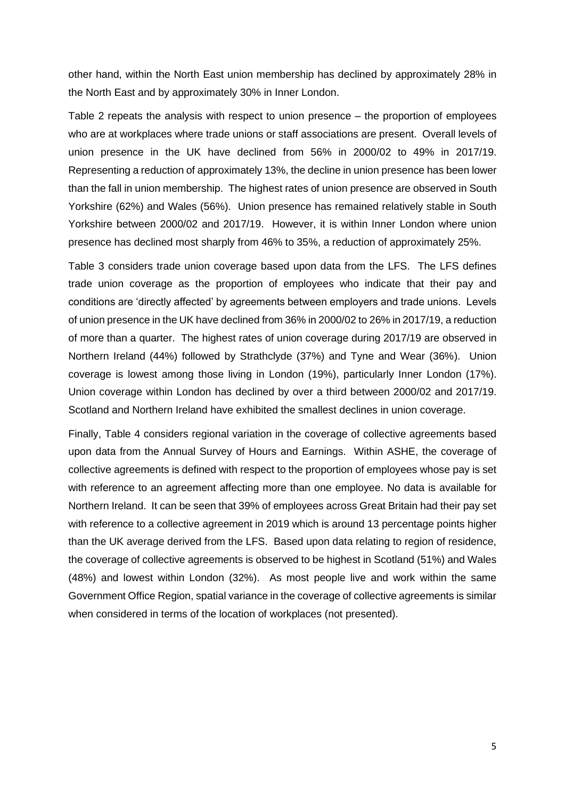other hand, within the North East union membership has declined by approximately 28% in the North East and by approximately 30% in Inner London.

Table 2 repeats the analysis with respect to union presence – the proportion of employees who are at workplaces where trade unions or staff associations are present. Overall levels of union presence in the UK have declined from 56% in 2000/02 to 49% in 2017/19. Representing a reduction of approximately 13%, the decline in union presence has been lower than the fall in union membership. The highest rates of union presence are observed in South Yorkshire (62%) and Wales (56%). Union presence has remained relatively stable in South Yorkshire between 2000/02 and 2017/19. However, it is within Inner London where union presence has declined most sharply from 46% to 35%, a reduction of approximately 25%.

Table 3 considers trade union coverage based upon data from the LFS. The LFS defines trade union coverage as the proportion of employees who indicate that their pay and conditions are 'directly affected' by agreements between employers and trade unions. Levels of union presence in the UK have declined from 36% in 2000/02 to 26% in 2017/19, a reduction of more than a quarter. The highest rates of union coverage during 2017/19 are observed in Northern Ireland (44%) followed by Strathclyde (37%) and Tyne and Wear (36%). Union coverage is lowest among those living in London (19%), particularly Inner London (17%). Union coverage within London has declined by over a third between 2000/02 and 2017/19. Scotland and Northern Ireland have exhibited the smallest declines in union coverage.

Finally, Table 4 considers regional variation in the coverage of collective agreements based upon data from the Annual Survey of Hours and Earnings. Within ASHE, the coverage of collective agreements is defined with respect to the proportion of employees whose pay is set with reference to an agreement affecting more than one employee. No data is available for Northern Ireland. It can be seen that 39% of employees across Great Britain had their pay set with reference to a collective agreement in 2019 which is around 13 percentage points higher than the UK average derived from the LFS. Based upon data relating to region of residence, the coverage of collective agreements is observed to be highest in Scotland (51%) and Wales (48%) and lowest within London (32%). As most people live and work within the same Government Office Region, spatial variance in the coverage of collective agreements is similar when considered in terms of the location of workplaces (not presented).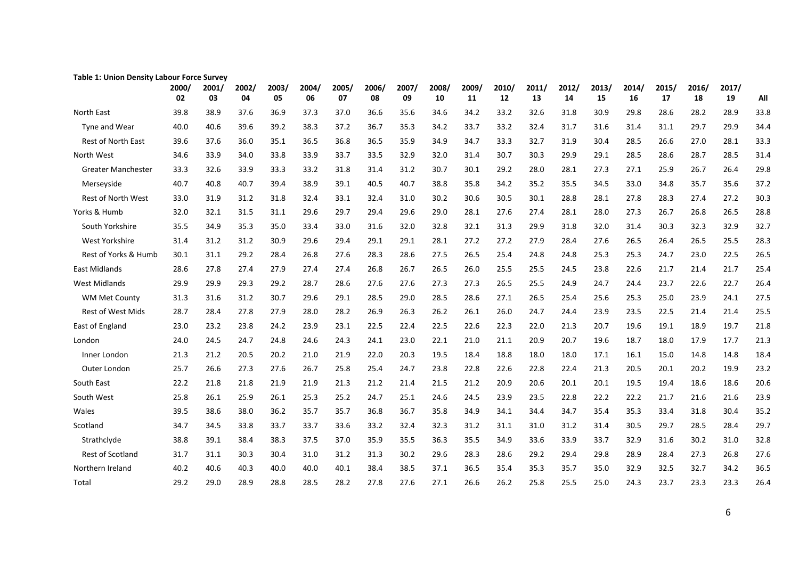| rable 1: Omon Density Labour Force Survey |             |             |             |             |             |             |             |             |             |             |             |             |             |             |             |             |             |             |      |
|-------------------------------------------|-------------|-------------|-------------|-------------|-------------|-------------|-------------|-------------|-------------|-------------|-------------|-------------|-------------|-------------|-------------|-------------|-------------|-------------|------|
|                                           | 2000/<br>02 | 2001/<br>03 | 2002/<br>04 | 2003/<br>05 | 2004/<br>06 | 2005/<br>07 | 2006/<br>08 | 2007/<br>09 | 2008/<br>10 | 2009/<br>11 | 2010/<br>12 | 2011/<br>13 | 2012/<br>14 | 2013/<br>15 | 2014/<br>16 | 2015/<br>17 | 2016/<br>18 | 2017/<br>19 | All  |
| North East                                | 39.8        | 38.9        | 37.6        | 36.9        | 37.3        | 37.0        | 36.6        | 35.6        | 34.6        | 34.2        | 33.2        | 32.6        | 31.8        | 30.9        | 29.8        | 28.6        | 28.2        | 28.9        | 33.8 |
| Tyne and Wear                             | 40.0        | 40.6        | 39.6        | 39.2        | 38.3        | 37.2        | 36.7        | 35.3        | 34.2        | 33.7        | 33.2        | 32.4        | 31.7        | 31.6        | 31.4        | 31.1        | 29.7        | 29.9        | 34.4 |
| <b>Rest of North East</b>                 | 39.6        | 37.6        | 36.0        | 35.1        | 36.5        | 36.8        | 36.5        | 35.9        | 34.9        | 34.7        | 33.3        | 32.7        | 31.9        | 30.4        | 28.5        | 26.6        | 27.0        | 28.1        | 33.3 |
| North West                                | 34.6        | 33.9        | 34.0        | 33.8        | 33.9        | 33.7        | 33.5        | 32.9        | 32.0        | 31.4        | 30.7        | 30.3        | 29.9        | 29.1        | 28.5        | 28.6        | 28.7        | 28.5        | 31.4 |
| <b>Greater Manchester</b>                 | 33.3        | 32.6        | 33.9        | 33.3        | 33.2        | 31.8        | 31.4        | 31.2        | 30.7        | 30.1        | 29.2        | 28.0        | 28.1        | 27.3        | 27.1        | 25.9        | 26.7        | 26.4        | 29.8 |
| Merseyside                                | 40.7        | 40.8        | 40.7        | 39.4        | 38.9        | 39.1        | 40.5        | 40.7        | 38.8        | 35.8        | 34.2        | 35.2        | 35.5        | 34.5        | 33.0        | 34.8        | 35.7        | 35.6        | 37.2 |
| Rest of North West                        | 33.0        | 31.9        | 31.2        | 31.8        | 32.4        | 33.1        | 32.4        | 31.0        | 30.2        | 30.6        | 30.5        | 30.1        | 28.8        | 28.1        | 27.8        | 28.3        | 27.4        | 27.2        | 30.3 |
| Yorks & Humb                              | 32.0        | 32.1        | 31.5        | 31.1        | 29.6        | 29.7        | 29.4        | 29.6        | 29.0        | 28.1        | 27.6        | 27.4        | 28.1        | 28.0        | 27.3        | 26.7        | 26.8        | 26.5        | 28.8 |
| South Yorkshire                           | 35.5        | 34.9        | 35.3        | 35.0        | 33.4        | 33.0        | 31.6        | 32.0        | 32.8        | 32.1        | 31.3        | 29.9        | 31.8        | 32.0        | 31.4        | 30.3        | 32.3        | 32.9        | 32.7 |
| West Yorkshire                            | 31.4        | 31.2        | 31.2        | 30.9        | 29.6        | 29.4        | 29.1        | 29.1        | 28.1        | 27.2        | 27.2        | 27.9        | 28.4        | 27.6        | 26.5        | 26.4        | 26.5        | 25.5        | 28.3 |
| Rest of Yorks & Humb                      | 30.1        | 31.1        | 29.2        | 28.4        | 26.8        | 27.6        | 28.3        | 28.6        | 27.5        | 26.5        | 25.4        | 24.8        | 24.8        | 25.3        | 25.3        | 24.7        | 23.0        | 22.5        | 26.5 |
| East Midlands                             | 28.6        | 27.8        | 27.4        | 27.9        | 27.4        | 27.4        | 26.8        | 26.7        | 26.5        | 26.0        | 25.5        | 25.5        | 24.5        | 23.8        | 22.6        | 21.7        | 21.4        | 21.7        | 25.4 |
| <b>West Midlands</b>                      | 29.9        | 29.9        | 29.3        | 29.2        | 28.7        | 28.6        | 27.6        | 27.6        | 27.3        | 27.3        | 26.5        | 25.5        | 24.9        | 24.7        | 24.4        | 23.7        | 22.6        | 22.7        | 26.4 |
| <b>WM Met County</b>                      | 31.3        | 31.6        | 31.2        | 30.7        | 29.6        | 29.1        | 28.5        | 29.0        | 28.5        | 28.6        | 27.1        | 26.5        | 25.4        | 25.6        | 25.3        | 25.0        | 23.9        | 24.1        | 27.5 |
| <b>Rest of West Mids</b>                  | 28.7        | 28.4        | 27.8        | 27.9        | 28.0        | 28.2        | 26.9        | 26.3        | 26.2        | 26.1        | 26.0        | 24.7        | 24.4        | 23.9        | 23.5        | 22.5        | 21.4        | 21.4        | 25.5 |
| East of England                           | 23.0        | 23.2        | 23.8        | 24.2        | 23.9        | 23.1        | 22.5        | 22.4        | 22.5        | 22.6        | 22.3        | 22.0        | 21.3        | 20.7        | 19.6        | 19.1        | 18.9        | 19.7        | 21.8 |
| London                                    | 24.0        | 24.5        | 24.7        | 24.8        | 24.6        | 24.3        | 24.1        | 23.0        | 22.1        | 21.0        | 21.1        | 20.9        | 20.7        | 19.6        | 18.7        | 18.0        | 17.9        | 17.7        | 21.3 |
| Inner London                              | 21.3        | 21.2        | 20.5        | 20.2        | 21.0        | 21.9        | 22.0        | 20.3        | 19.5        | 18.4        | 18.8        | 18.0        | 18.0        | 17.1        | 16.1        | 15.0        | 14.8        | 14.8        | 18.4 |
| Outer London                              | 25.7        | 26.6        | 27.3        | 27.6        | 26.7        | 25.8        | 25.4        | 24.7        | 23.8        | 22.8        | 22.6        | 22.8        | 22.4        | 21.3        | 20.5        | 20.1        | 20.2        | 19.9        | 23.2 |
| South East                                | 22.2        | 21.8        | 21.8        | 21.9        | 21.9        | 21.3        | 21.2        | 21.4        | 21.5        | 21.2        | 20.9        | 20.6        | 20.1        | 20.1        | 19.5        | 19.4        | 18.6        | 18.6        | 20.6 |
| South West                                | 25.8        | 26.1        | 25.9        | 26.1        | 25.3        | 25.2        | 24.7        | 25.1        | 24.6        | 24.5        | 23.9        | 23.5        | 22.8        | 22.2        | 22.2        | 21.7        | 21.6        | 21.6        | 23.9 |
| Wales                                     | 39.5        | 38.6        | 38.0        | 36.2        | 35.7        | 35.7        | 36.8        | 36.7        | 35.8        | 34.9        | 34.1        | 34.4        | 34.7        | 35.4        | 35.3        | 33.4        | 31.8        | 30.4        | 35.2 |
| Scotland                                  | 34.7        | 34.5        | 33.8        | 33.7        | 33.7        | 33.6        | 33.2        | 32.4        | 32.3        | 31.2        | 31.1        | 31.0        | 31.2        | 31.4        | 30.5        | 29.7        | 28.5        | 28.4        | 29.7 |
| Strathclyde                               | 38.8        | 39.1        | 38.4        | 38.3        | 37.5        | 37.0        | 35.9        | 35.5        | 36.3        | 35.5        | 34.9        | 33.6        | 33.9        | 33.7        | 32.9        | 31.6        | 30.2        | 31.0        | 32.8 |
| Rest of Scotland                          | 31.7        | 31.1        | 30.3        | 30.4        | 31.0        | 31.2        | 31.3        | 30.2        | 29.6        | 28.3        | 28.6        | 29.2        | 29.4        | 29.8        | 28.9        | 28.4        | 27.3        | 26.8        | 27.6 |
| Northern Ireland                          | 40.2        | 40.6        | 40.3        | 40.0        | 40.0        | 40.1        | 38.4        | 38.5        | 37.1        | 36.5        | 35.4        | 35.3        | 35.7        | 35.0        | 32.9        | 32.5        | 32.7        | 34.2        | 36.5 |
| Total                                     | 29.2        | 29.0        | 28.9        | 28.8        | 28.5        | 28.2        | 27.8        | 27.6        | 27.1        | 26.6        | 26.2        | 25.8        | 25.5        | 25.0        | 24.3        | 23.7        | 23.3        | 23.3        | 26.4 |

#### **Table 1: Union Density Labour Force Survey**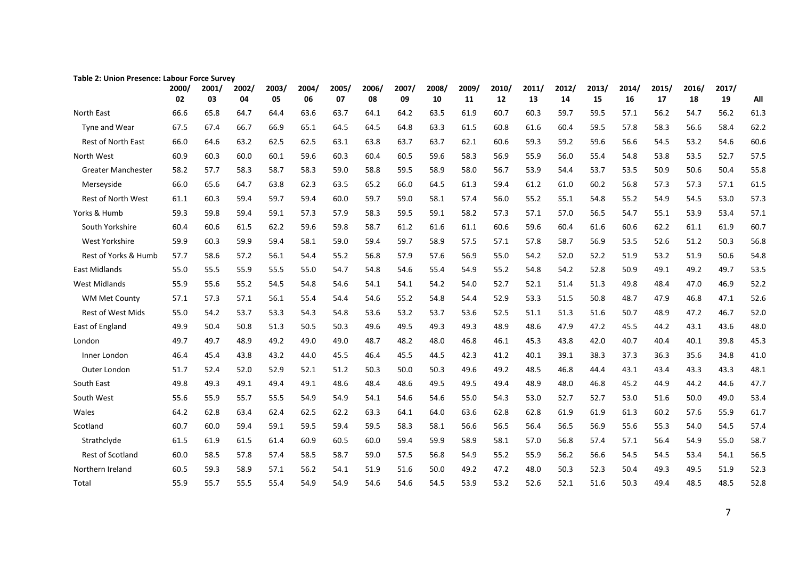| <b>UIIIUII FIESCHLE. LAUUU</b><br>ce July |             |             |             |             |             |             |             |             |             |             |             |             |             |             |             |             |             |             |      |
|-------------------------------------------|-------------|-------------|-------------|-------------|-------------|-------------|-------------|-------------|-------------|-------------|-------------|-------------|-------------|-------------|-------------|-------------|-------------|-------------|------|
|                                           | 2000/<br>02 | 2001/<br>03 | 2002/<br>04 | 2003/<br>05 | 2004/<br>06 | 2005/<br>07 | 2006/<br>08 | 2007/<br>09 | 2008/<br>10 | 2009/<br>11 | 2010/<br>12 | 2011/<br>13 | 2012/<br>14 | 2013/<br>15 | 2014/<br>16 | 2015/<br>17 | 2016/<br>18 | 2017/<br>19 | All  |
| North East                                | 66.6        | 65.8        | 64.7        | 64.4        | 63.6        | 63.7        | 64.1        | 64.2        | 63.5        | 61.9        | 60.7        | 60.3        | 59.7        | 59.5        | 57.1        | 56.2        | 54.7        | 56.2        | 61.3 |
| Tyne and Wear                             | 67.5        | 67.4        | 66.7        | 66.9        | 65.1        | 64.5        | 64.5        | 64.8        | 63.3        | 61.5        | 60.8        | 61.6        | 60.4        | 59.5        | 57.8        | 58.3        | 56.6        | 58.4        | 62.2 |
| <b>Rest of North East</b>                 | 66.0        | 64.6        | 63.2        | 62.5        | 62.5        | 63.1        | 63.8        | 63.7        | 63.7        | 62.1        | 60.6        | 59.3        | 59.2        | 59.6        | 56.6        | 54.5        | 53.2        | 54.6        | 60.6 |
| North West                                | 60.9        | 60.3        | 60.0        | 60.1        | 59.6        | 60.3        | 60.4        | 60.5        | 59.6        | 58.3        | 56.9        | 55.9        | 56.0        | 55.4        | 54.8        | 53.8        | 53.5        | 52.7        | 57.5 |
| <b>Greater Manchester</b>                 | 58.2        | 57.7        | 58.3        | 58.7        | 58.3        | 59.0        | 58.8        | 59.5        | 58.9        | 58.0        | 56.7        | 53.9        | 54.4        | 53.7        | 53.5        | 50.9        | 50.6        | 50.4        | 55.8 |
| Merseyside                                | 66.0        | 65.6        | 64.7        | 63.8        | 62.3        | 63.5        | 65.2        | 66.0        | 64.5        | 61.3        | 59.4        | 61.2        | 61.0        | 60.2        | 56.8        | 57.3        | 57.3        | 57.1        | 61.5 |
| <b>Rest of North West</b>                 | 61.1        | 60.3        | 59.4        | 59.7        | 59.4        | 60.0        | 59.7        | 59.0        | 58.1        | 57.4        | 56.0        | 55.2        | 55.1        | 54.8        | 55.2        | 54.9        | 54.5        | 53.0        | 57.3 |
| Yorks & Humb                              | 59.3        | 59.8        | 59.4        | 59.1        | 57.3        | 57.9        | 58.3        | 59.5        | 59.1        | 58.2        | 57.3        | 57.1        | 57.0        | 56.5        | 54.7        | 55.1        | 53.9        | 53.4        | 57.1 |
| South Yorkshire                           | 60.4        | 60.6        | 61.5        | 62.2        | 59.6        | 59.8        | 58.7        | 61.2        | 61.6        | 61.1        | 60.6        | 59.6        | 60.4        | 61.6        | 60.6        | 62.2        | 61.1        | 61.9        | 60.7 |
| West Yorkshire                            | 59.9        | 60.3        | 59.9        | 59.4        | 58.1        | 59.0        | 59.4        | 59.7        | 58.9        | 57.5        | 57.1        | 57.8        | 58.7        | 56.9        | 53.5        | 52.6        | 51.2        | 50.3        | 56.8 |
| Rest of Yorks & Humb                      | 57.7        | 58.6        | 57.2        | 56.1        | 54.4        | 55.2        | 56.8        | 57.9        | 57.6        | 56.9        | 55.0        | 54.2        | 52.0        | 52.2        | 51.9        | 53.2        | 51.9        | 50.6        | 54.8 |
| <b>East Midlands</b>                      | 55.0        | 55.5        | 55.9        | 55.5        | 55.0        | 54.7        | 54.8        | 54.6        | 55.4        | 54.9        | 55.2        | 54.8        | 54.2        | 52.8        | 50.9        | 49.1        | 49.2        | 49.7        | 53.5 |
| <b>West Midlands</b>                      | 55.9        | 55.6        | 55.2        | 54.5        | 54.8        | 54.6        | 54.1        | 54.1        | 54.2        | 54.0        | 52.7        | 52.1        | 51.4        | 51.3        | 49.8        | 48.4        | 47.0        | 46.9        | 52.2 |
| <b>WM Met County</b>                      | 57.1        | 57.3        | 57.1        | 56.1        | 55.4        | 54.4        | 54.6        | 55.2        | 54.8        | 54.4        | 52.9        | 53.3        | 51.5        | 50.8        | 48.7        | 47.9        | 46.8        | 47.1        | 52.6 |
| <b>Rest of West Mids</b>                  | 55.0        | 54.2        | 53.7        | 53.3        | 54.3        | 54.8        | 53.6        | 53.2        | 53.7        | 53.6        | 52.5        | 51.1        | 51.3        | 51.6        | 50.7        | 48.9        | 47.2        | 46.7        | 52.0 |
| East of England                           | 49.9        | 50.4        | 50.8        | 51.3        | 50.5        | 50.3        | 49.6        | 49.5        | 49.3        | 49.3        | 48.9        | 48.6        | 47.9        | 47.2        | 45.5        | 44.2        | 43.1        | 43.6        | 48.0 |
| London                                    | 49.7        | 49.7        | 48.9        | 49.2        | 49.0        | 49.0        | 48.7        | 48.2        | 48.0        | 46.8        | 46.1        | 45.3        | 43.8        | 42.0        | 40.7        | 40.4        | 40.1        | 39.8        | 45.3 |
| Inner London                              | 46.4        | 45.4        | 43.8        | 43.2        | 44.0        | 45.5        | 46.4        | 45.5        | 44.5        | 42.3        | 41.2        | 40.1        | 39.1        | 38.3        | 37.3        | 36.3        | 35.6        | 34.8        | 41.0 |
| Outer London                              | 51.7        | 52.4        | 52.0        | 52.9        | 52.1        | 51.2        | 50.3        | 50.0        | 50.3        | 49.6        | 49.2        | 48.5        | 46.8        | 44.4        | 43.1        | 43.4        | 43.3        | 43.3        | 48.1 |
| South East                                | 49.8        | 49.3        | 49.1        | 49.4        | 49.1        | 48.6        | 48.4        | 48.6        | 49.5        | 49.5        | 49.4        | 48.9        | 48.0        | 46.8        | 45.2        | 44.9        | 44.2        | 44.6        | 47.7 |
| South West                                | 55.6        | 55.9        | 55.7        | 55.5        | 54.9        | 54.9        | 54.1        | 54.6        | 54.6        | 55.0        | 54.3        | 53.0        | 52.7        | 52.7        | 53.0        | 51.6        | 50.0        | 49.0        | 53.4 |
| Wales                                     | 64.2        | 62.8        | 63.4        | 62.4        | 62.5        | 62.2        | 63.3        | 64.1        | 64.0        | 63.6        | 62.8        | 62.8        | 61.9        | 61.9        | 61.3        | 60.2        | 57.6        | 55.9        | 61.7 |
| Scotland                                  | 60.7        | 60.0        | 59.4        | 59.1        | 59.5        | 59.4        | 59.5        | 58.3        | 58.1        | 56.6        | 56.5        | 56.4        | 56.5        | 56.9        | 55.6        | 55.3        | 54.0        | 54.5        | 57.4 |
| Strathclyde                               | 61.5        | 61.9        | 61.5        | 61.4        | 60.9        | 60.5        | 60.0        | 59.4        | 59.9        | 58.9        | 58.1        | 57.0        | 56.8        | 57.4        | 57.1        | 56.4        | 54.9        | 55.0        | 58.7 |
| Rest of Scotland                          | 60.0        | 58.5        | 57.8        | 57.4        | 58.5        | 58.7        | 59.0        | 57.5        | 56.8        | 54.9        | 55.2        | 55.9        | 56.2        | 56.6        | 54.5        | 54.5        | 53.4        | 54.1        | 56.5 |
| Northern Ireland                          | 60.5        | 59.3        | 58.9        | 57.1        | 56.2        | 54.1        | 51.9        | 51.6        | 50.0        | 49.2        | 47.2        | 48.0        | 50.3        | 52.3        | 50.4        | 49.3        | 49.5        | 51.9        | 52.3 |
| Total                                     | 55.9        | 55.7        | 55.5        | 55.4        | 54.9        | 54.9        | 54.6        | 54.6        | 54.5        | 53.9        | 53.2        | 52.6        | 52.1        | 51.6        | 50.3        | 49.4        | 48.5        | 48.5        | 52.8 |

#### **Table 2: Union Presence: Labour Force Survey**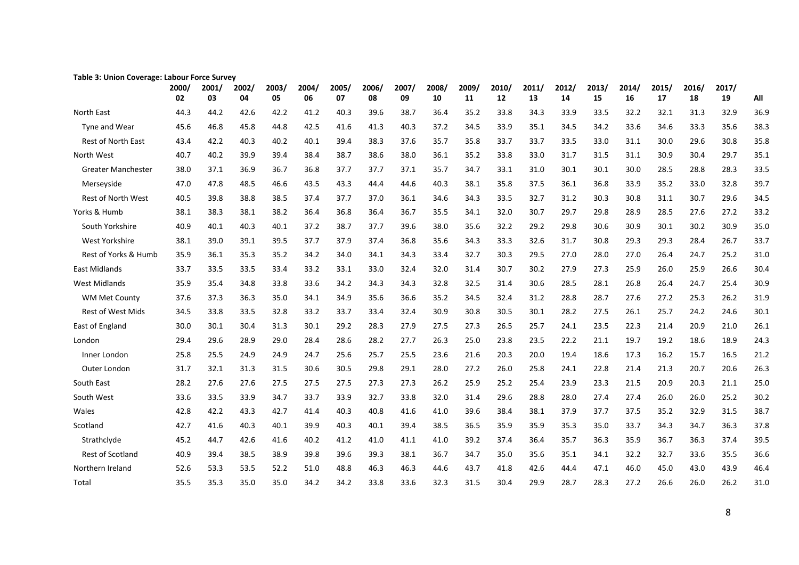| rapie 3. Omon Coverage. Labour | 2000/ | <b>DI LE JUIVEY</b><br>2001/ | 2002/ | 2003/ | 2004/ | 2005/ | 2006/ | 2007/ | 2008/ | 2009/ | 2010/ | 2011/ | 2012/ | 2013/ | 2014/ | 2015/ | 2016/ | 2017/ |      |
|--------------------------------|-------|------------------------------|-------|-------|-------|-------|-------|-------|-------|-------|-------|-------|-------|-------|-------|-------|-------|-------|------|
|                                | 02    | 03                           | 04    | 05    | 06    | 07    | 08    | 09    | 10    | 11    | 12    | 13    | 14    | 15    | 16    | 17    | 18    | 19    | All  |
| North East                     | 44.3  | 44.2                         | 42.6  | 42.2  | 41.2  | 40.3  | 39.6  | 38.7  | 36.4  | 35.2  | 33.8  | 34.3  | 33.9  | 33.5  | 32.2  | 32.1  | 31.3  | 32.9  | 36.9 |
| Tyne and Wear                  | 45.6  | 46.8                         | 45.8  | 44.8  | 42.5  | 41.6  | 41.3  | 40.3  | 37.2  | 34.5  | 33.9  | 35.1  | 34.5  | 34.2  | 33.6  | 34.6  | 33.3  | 35.6  | 38.3 |
| <b>Rest of North East</b>      | 43.4  | 42.2                         | 40.3  | 40.2  | 40.1  | 39.4  | 38.3  | 37.6  | 35.7  | 35.8  | 33.7  | 33.7  | 33.5  | 33.0  | 31.1  | 30.0  | 29.6  | 30.8  | 35.8 |
| North West                     | 40.7  | 40.2                         | 39.9  | 39.4  | 38.4  | 38.7  | 38.6  | 38.0  | 36.1  | 35.2  | 33.8  | 33.0  | 31.7  | 31.5  | 31.1  | 30.9  | 30.4  | 29.7  | 35.1 |
| <b>Greater Manchester</b>      | 38.0  | 37.1                         | 36.9  | 36.7  | 36.8  | 37.7  | 37.7  | 37.1  | 35.7  | 34.7  | 33.1  | 31.0  | 30.1  | 30.1  | 30.0  | 28.5  | 28.8  | 28.3  | 33.5 |
| Merseyside                     | 47.0  | 47.8                         | 48.5  | 46.6  | 43.5  | 43.3  | 44.4  | 44.6  | 40.3  | 38.1  | 35.8  | 37.5  | 36.1  | 36.8  | 33.9  | 35.2  | 33.0  | 32.8  | 39.7 |
| <b>Rest of North West</b>      | 40.5  | 39.8                         | 38.8  | 38.5  | 37.4  | 37.7  | 37.0  | 36.1  | 34.6  | 34.3  | 33.5  | 32.7  | 31.2  | 30.3  | 30.8  | 31.1  | 30.7  | 29.6  | 34.5 |
| Yorks & Humb                   | 38.1  | 38.3                         | 38.1  | 38.2  | 36.4  | 36.8  | 36.4  | 36.7  | 35.5  | 34.1  | 32.0  | 30.7  | 29.7  | 29.8  | 28.9  | 28.5  | 27.6  | 27.2  | 33.2 |
| South Yorkshire                | 40.9  | 40.1                         | 40.3  | 40.1  | 37.2  | 38.7  | 37.7  | 39.6  | 38.0  | 35.6  | 32.2  | 29.2  | 29.8  | 30.6  | 30.9  | 30.1  | 30.2  | 30.9  | 35.0 |
| West Yorkshire                 | 38.1  | 39.0                         | 39.1  | 39.5  | 37.7  | 37.9  | 37.4  | 36.8  | 35.6  | 34.3  | 33.3  | 32.6  | 31.7  | 30.8  | 29.3  | 29.3  | 28.4  | 26.7  | 33.7 |
| Rest of Yorks & Humb           | 35.9  | 36.1                         | 35.3  | 35.2  | 34.2  | 34.0  | 34.1  | 34.3  | 33.4  | 32.7  | 30.3  | 29.5  | 27.0  | 28.0  | 27.0  | 26.4  | 24.7  | 25.2  | 31.0 |
| <b>East Midlands</b>           | 33.7  | 33.5                         | 33.5  | 33.4  | 33.2  | 33.1  | 33.0  | 32.4  | 32.0  | 31.4  | 30.7  | 30.2  | 27.9  | 27.3  | 25.9  | 26.0  | 25.9  | 26.6  | 30.4 |
| <b>West Midlands</b>           | 35.9  | 35.4                         | 34.8  | 33.8  | 33.6  | 34.2  | 34.3  | 34.3  | 32.8  | 32.5  | 31.4  | 30.6  | 28.5  | 28.1  | 26.8  | 26.4  | 24.7  | 25.4  | 30.9 |
| <b>WM Met County</b>           | 37.6  | 37.3                         | 36.3  | 35.0  | 34.1  | 34.9  | 35.6  | 36.6  | 35.2  | 34.5  | 32.4  | 31.2  | 28.8  | 28.7  | 27.6  | 27.2  | 25.3  | 26.2  | 31.9 |
| <b>Rest of West Mids</b>       | 34.5  | 33.8                         | 33.5  | 32.8  | 33.2  | 33.7  | 33.4  | 32.4  | 30.9  | 30.8  | 30.5  | 30.1  | 28.2  | 27.5  | 26.1  | 25.7  | 24.2  | 24.6  | 30.1 |
| East of England                | 30.0  | 30.1                         | 30.4  | 31.3  | 30.1  | 29.2  | 28.3  | 27.9  | 27.5  | 27.3  | 26.5  | 25.7  | 24.1  | 23.5  | 22.3  | 21.4  | 20.9  | 21.0  | 26.1 |
| London                         | 29.4  | 29.6                         | 28.9  | 29.0  | 28.4  | 28.6  | 28.2  | 27.7  | 26.3  | 25.0  | 23.8  | 23.5  | 22.2  | 21.1  | 19.7  | 19.2  | 18.6  | 18.9  | 24.3 |
| Inner London                   | 25.8  | 25.5                         | 24.9  | 24.9  | 24.7  | 25.6  | 25.7  | 25.5  | 23.6  | 21.6  | 20.3  | 20.0  | 19.4  | 18.6  | 17.3  | 16.2  | 15.7  | 16.5  | 21.2 |
| Outer London                   | 31.7  | 32.1                         | 31.3  | 31.5  | 30.6  | 30.5  | 29.8  | 29.1  | 28.0  | 27.2  | 26.0  | 25.8  | 24.1  | 22.8  | 21.4  | 21.3  | 20.7  | 20.6  | 26.3 |
| South East                     | 28.2  | 27.6                         | 27.6  | 27.5  | 27.5  | 27.5  | 27.3  | 27.3  | 26.2  | 25.9  | 25.2  | 25.4  | 23.9  | 23.3  | 21.5  | 20.9  | 20.3  | 21.1  | 25.0 |
| South West                     | 33.6  | 33.5                         | 33.9  | 34.7  | 33.7  | 33.9  | 32.7  | 33.8  | 32.0  | 31.4  | 29.6  | 28.8  | 28.0  | 27.4  | 27.4  | 26.0  | 26.0  | 25.2  | 30.2 |
| Wales                          | 42.8  | 42.2                         | 43.3  | 42.7  | 41.4  | 40.3  | 40.8  | 41.6  | 41.0  | 39.6  | 38.4  | 38.1  | 37.9  | 37.7  | 37.5  | 35.2  | 32.9  | 31.5  | 38.7 |
| Scotland                       | 42.7  | 41.6                         | 40.3  | 40.1  | 39.9  | 40.3  | 40.1  | 39.4  | 38.5  | 36.5  | 35.9  | 35.9  | 35.3  | 35.0  | 33.7  | 34.3  | 34.7  | 36.3  | 37.8 |
| Strathclyde                    | 45.2  | 44.7                         | 42.6  | 41.6  | 40.2  | 41.2  | 41.0  | 41.1  | 41.0  | 39.2  | 37.4  | 36.4  | 35.7  | 36.3  | 35.9  | 36.7  | 36.3  | 37.4  | 39.5 |
| Rest of Scotland               | 40.9  | 39.4                         | 38.5  | 38.9  | 39.8  | 39.6  | 39.3  | 38.1  | 36.7  | 34.7  | 35.0  | 35.6  | 35.1  | 34.1  | 32.2  | 32.7  | 33.6  | 35.5  | 36.6 |
| Northern Ireland               | 52.6  | 53.3                         | 53.5  | 52.2  | 51.0  | 48.8  | 46.3  | 46.3  | 44.6  | 43.7  | 41.8  | 42.6  | 44.4  | 47.1  | 46.0  | 45.0  | 43.0  | 43.9  | 46.4 |
| Total                          | 35.5  | 35.3                         | 35.0  | 35.0  | 34.2  | 34.2  | 33.8  | 33.6  | 32.3  | 31.5  | 30.4  | 29.9  | 28.7  | 28.3  | 27.2  | 26.6  | 26.0  | 26.2  | 31.0 |

#### **Table 3: Union Coverage: Labour Force Survey**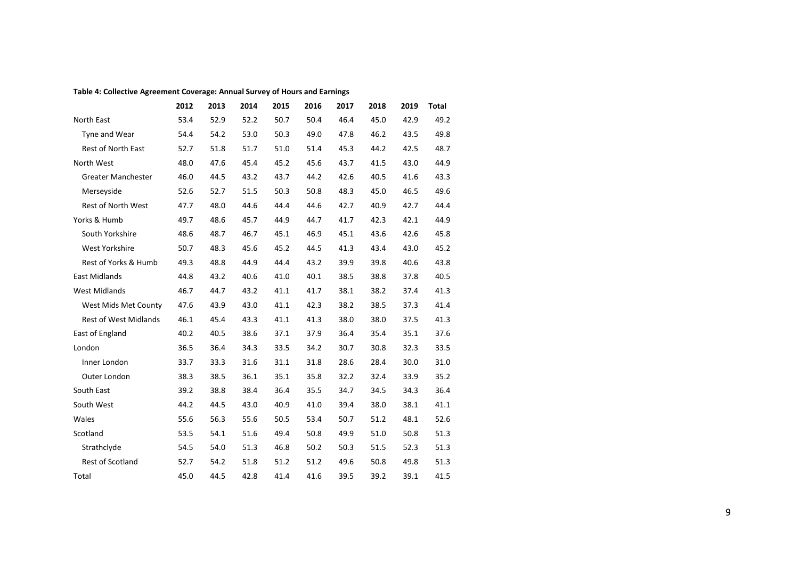#### **Table 4: Collective Agreement Coverage: Annual Survey of Hours and Earnings**

|                              | 2012 | 2013 | 2014 | 2015 | 2016 | 2017 | 2018 | 2019 | <b>Total</b> |
|------------------------------|------|------|------|------|------|------|------|------|--------------|
| North East                   | 53.4 | 52.9 | 52.2 | 50.7 | 50.4 | 46.4 | 45.0 | 42.9 | 49.2         |
| Tyne and Wear                | 54.4 | 54.2 | 53.0 | 50.3 | 49.0 | 47.8 | 46.2 | 43.5 | 49.8         |
| Rest of North East           | 52.7 | 51.8 | 51.7 | 51.0 | 51.4 | 45.3 | 44.2 | 42.5 | 48.7         |
| North West                   | 48.0 | 47.6 | 45.4 | 45.2 | 45.6 | 43.7 | 41.5 | 43.0 | 44.9         |
| <b>Greater Manchester</b>    | 46.0 | 44.5 | 43.2 | 43.7 | 44.2 | 42.6 | 40.5 | 41.6 | 43.3         |
| Merseyside                   | 52.6 | 52.7 | 51.5 | 50.3 | 50.8 | 48.3 | 45.0 | 46.5 | 49.6         |
| <b>Rest of North West</b>    | 47.7 | 48.0 | 44.6 | 44.4 | 44.6 | 42.7 | 40.9 | 42.7 | 44.4         |
| Yorks & Humb                 | 49.7 | 48.6 | 45.7 | 44.9 | 44.7 | 41.7 | 42.3 | 42.1 | 44.9         |
| South Yorkshire              | 48.6 | 48.7 | 46.7 | 45.1 | 46.9 | 45.1 | 43.6 | 42.6 | 45.8         |
| West Yorkshire               | 50.7 | 48.3 | 45.6 | 45.2 | 44.5 | 41.3 | 43.4 | 43.0 | 45.2         |
| Rest of Yorks & Humb         | 49.3 | 48.8 | 44.9 | 44.4 | 43.2 | 39.9 | 39.8 | 40.6 | 43.8         |
| <b>East Midlands</b>         | 44.8 | 43.2 | 40.6 | 41.0 | 40.1 | 38.5 | 38.8 | 37.8 | 40.5         |
| <b>West Midlands</b>         | 46.7 | 44.7 | 43.2 | 41.1 | 41.7 | 38.1 | 38.2 | 37.4 | 41.3         |
| West Mids Met County         | 47.6 | 43.9 | 43.0 | 41.1 | 42.3 | 38.2 | 38.5 | 37.3 | 41.4         |
| <b>Rest of West Midlands</b> | 46.1 | 45.4 | 43.3 | 41.1 | 41.3 | 38.0 | 38.0 | 37.5 | 41.3         |
| East of England              | 40.2 | 40.5 | 38.6 | 37.1 | 37.9 | 36.4 | 35.4 | 35.1 | 37.6         |
| London                       | 36.5 | 36.4 | 34.3 | 33.5 | 34.2 | 30.7 | 30.8 | 32.3 | 33.5         |
| Inner London                 | 33.7 | 33.3 | 31.6 | 31.1 | 31.8 | 28.6 | 28.4 | 30.0 | 31.0         |
| Outer London                 | 38.3 | 38.5 | 36.1 | 35.1 | 35.8 | 32.2 | 32.4 | 33.9 | 35.2         |
| South East                   | 39.2 | 38.8 | 38.4 | 36.4 | 35.5 | 34.7 | 34.5 | 34.3 | 36.4         |
| South West                   | 44.2 | 44.5 | 43.0 | 40.9 | 41.0 | 39.4 | 38.0 | 38.1 | 41.1         |
| Wales                        | 55.6 | 56.3 | 55.6 | 50.5 | 53.4 | 50.7 | 51.2 | 48.1 | 52.6         |
| Scotland                     | 53.5 | 54.1 | 51.6 | 49.4 | 50.8 | 49.9 | 51.0 | 50.8 | 51.3         |
| Strathclyde                  | 54.5 | 54.0 | 51.3 | 46.8 | 50.2 | 50.3 | 51.5 | 52.3 | 51.3         |
| <b>Rest of Scotland</b>      | 52.7 | 54.2 | 51.8 | 51.2 | 51.2 | 49.6 | 50.8 | 49.8 | 51.3         |
| Total                        | 45.0 | 44.5 | 42.8 | 41.4 | 41.6 | 39.5 | 39.2 | 39.1 | 41.5         |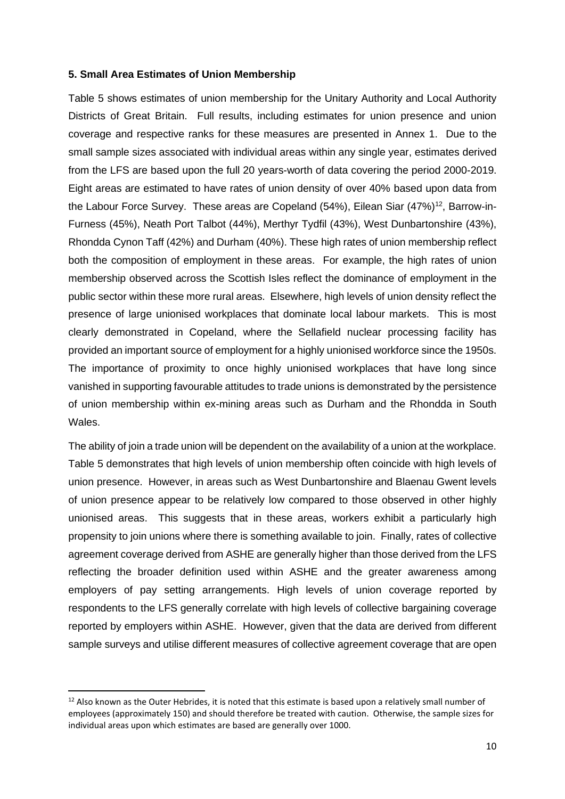### **5. Small Area Estimates of Union Membership**

Table 5 shows estimates of union membership for the Unitary Authority and Local Authority Districts of Great Britain. Full results, including estimates for union presence and union coverage and respective ranks for these measures are presented in Annex 1. Due to the small sample sizes associated with individual areas within any single year, estimates derived from the LFS are based upon the full 20 years-worth of data covering the period 2000-2019. Eight areas are estimated to have rates of union density of over 40% based upon data from the Labour Force Survey. These areas are Copeland (54%), Eilean Siar (47%)<sup>12</sup>, Barrow-in-Furness (45%), Neath Port Talbot (44%), Merthyr Tydfil (43%), West Dunbartonshire (43%), Rhondda Cynon Taff (42%) and Durham (40%). These high rates of union membership reflect both the composition of employment in these areas. For example, the high rates of union membership observed across the Scottish Isles reflect the dominance of employment in the public sector within these more rural areas. Elsewhere, high levels of union density reflect the presence of large unionised workplaces that dominate local labour markets. This is most clearly demonstrated in Copeland, where the Sellafield nuclear processing facility has provided an important source of employment for a highly unionised workforce since the 1950s. The importance of proximity to once highly unionised workplaces that have long since vanished in supporting favourable attitudes to trade unions is demonstrated by the persistence of union membership within ex-mining areas such as Durham and the Rhondda in South Wales.

The ability of join a trade union will be dependent on the availability of a union at the workplace. Table 5 demonstrates that high levels of union membership often coincide with high levels of union presence. However, in areas such as West Dunbartonshire and Blaenau Gwent levels of union presence appear to be relatively low compared to those observed in other highly unionised areas. This suggests that in these areas, workers exhibit a particularly high propensity to join unions where there is something available to join. Finally, rates of collective agreement coverage derived from ASHE are generally higher than those derived from the LFS reflecting the broader definition used within ASHE and the greater awareness among employers of pay setting arrangements. High levels of union coverage reported by respondents to the LFS generally correlate with high levels of collective bargaining coverage reported by employers within ASHE. However, given that the data are derived from different sample surveys and utilise different measures of collective agreement coverage that are open

 $12$  Also known as the Outer Hebrides, it is noted that this estimate is based upon a relatively small number of employees (approximately 150) and should therefore be treated with caution. Otherwise, the sample sizes for individual areas upon which estimates are based are generally over 1000.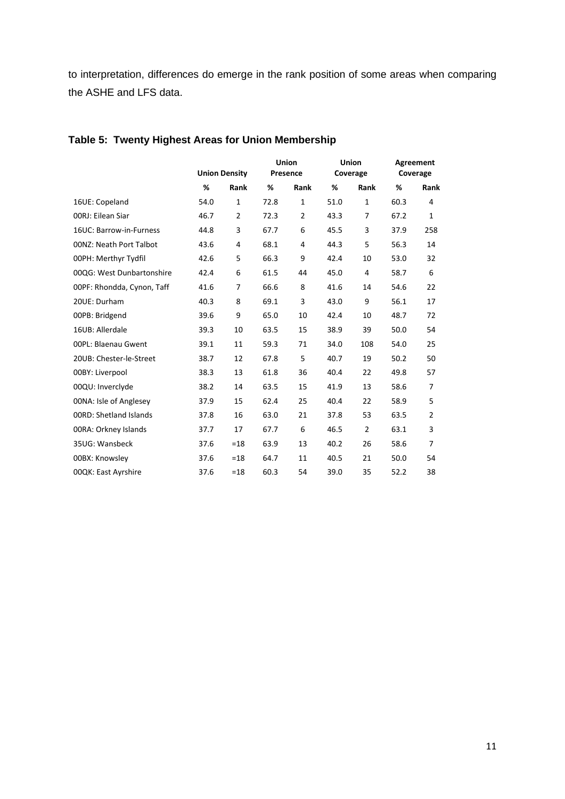to interpretation, differences do emerge in the rank position of some areas when comparing the ASHE and LFS data.

|                                | <b>Union Density</b> |                | Union<br>Presence |                |      | Union<br>Coverage | Agreement<br>Coverage |      |  |
|--------------------------------|----------------------|----------------|-------------------|----------------|------|-------------------|-----------------------|------|--|
|                                | %<br>Rank            |                | %                 | Rank           | %    | Rank              | %                     | Rank |  |
| 16UE: Copeland                 | 54.0                 | $\mathbf{1}$   | 72.8              | $\mathbf{1}$   | 51.0 | $\mathbf{1}$      | 60.3                  | 4    |  |
| 00RJ: Eilean Siar              | 46.7                 | $\overline{2}$ | 72.3              | $\overline{2}$ | 43.3 | $\overline{7}$    | 67.2                  | 1    |  |
| 16UC: Barrow-in-Furness        | 44.8                 | 3              | 67.7              | 6              | 45.5 | 3                 | 37.9                  | 258  |  |
| <b>00NZ: Neath Port Talbot</b> | 43.6                 | 4              | 68.1              | 4              | 44.3 | 5                 | 56.3                  | 14   |  |
| 00PH: Merthyr Tydfil           | 42.6                 | 5              | 66.3              | 9              | 42.4 | 10                | 53.0                  | 32   |  |
| 00QG: West Dunbartonshire      | 42.4                 | 6              | 61.5              | 44             | 45.0 | 4                 | 58.7                  | 6    |  |
| 00PF: Rhondda, Cynon, Taff     | 41.6                 | 7              | 66.6              | 8              | 41.6 | 14                | 54.6                  | 22   |  |
| 20UE: Durham                   | 40.3                 | 8              | 69.1              | 3              | 43.0 | 9                 | 56.1                  | 17   |  |
| 00PB: Bridgend                 | 39.6                 | 9              | 65.0              | 10             | 42.4 | 10                | 48.7                  | 72   |  |
| 16UB: Allerdale                | 39.3                 | 10             | 63.5              | 15             | 38.9 | 39                | 50.0                  | 54   |  |
| 00PL: Blaenau Gwent            | 39.1                 | 11             | 59.3              | 71             | 34.0 | 108               | 54.0                  | 25   |  |
| 20UB: Chester-le-Street        | 38.7                 | 12             | 67.8              | 5              | 40.7 | 19                | 50.2                  | 50   |  |
| 00BY: Liverpool                | 38.3                 | 13             | 61.8              | 36             | 40.4 | 22                | 49.8                  | 57   |  |
| 00QU: Inverclyde               | 38.2                 | 14             | 63.5              | 15             | 41.9 | 13                | 58.6                  | 7    |  |
| 00NA: Isle of Anglesey         | 37.9                 | 15             | 62.4              | 25             | 40.4 | 22                | 58.9                  | 5    |  |
| <b>OORD: Shetland Islands</b>  | 37.8                 | 16             | 63.0              | 21             | 37.8 | 53                | 63.5                  | 2    |  |
| 00RA: Orkney Islands           | 37.7                 | 17             | 67.7              | 6              | 46.5 | $\overline{2}$    | 63.1                  | 3    |  |
| 35UG: Wansbeck                 | 37.6                 | $=18$          | 63.9              | 13             | 40.2 | 26                | 58.6                  | 7    |  |
| 00BX: Knowsley                 | 37.6                 | $=18$          | 64.7              | 11             | 40.5 | 21                | 50.0                  | 54   |  |
| 00QK: East Ayrshire            | $=18$<br>37.6        |                | 60.3              | 54             | 39.0 | 35                | 52.2                  | 38   |  |

# **Table 5: Twenty Highest Areas for Union Membership**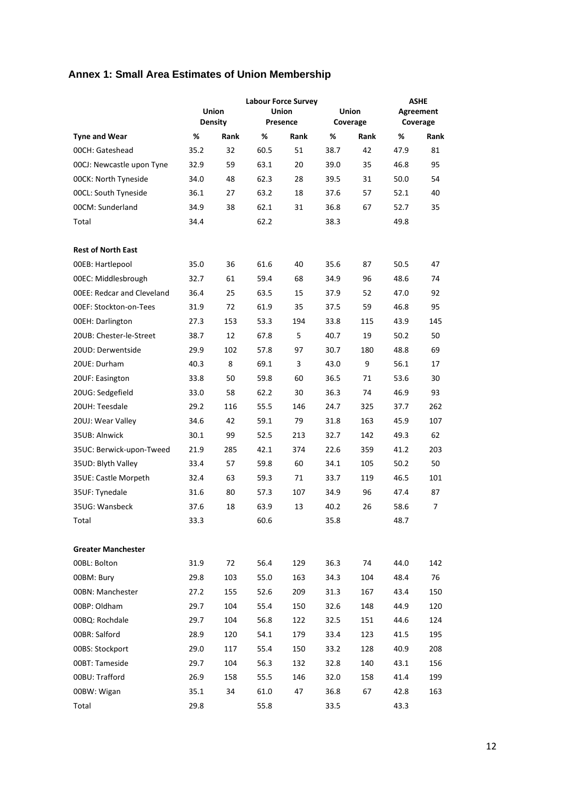# **Annex 1: Small Area Estimates of Union Membership**

|                                   |      | <b>Union</b><br><b>Density</b> | <b>Labour Force Survey</b><br><b>Union</b><br>Presence |      | Union<br>Coverage |      |      | <b>ASHE</b><br>Agreement<br>Coverage |
|-----------------------------------|------|--------------------------------|--------------------------------------------------------|------|-------------------|------|------|--------------------------------------|
| <b>Tyne and Wear</b>              | %    | Rank                           | %                                                      | Rank | %                 | Rank | %    | Rank                                 |
| 00CH: Gateshead                   | 35.2 | 32                             | 60.5                                                   | 51   | 38.7              | 42   | 47.9 | 81                                   |
| 00CJ: Newcastle upon Tyne         | 32.9 | 59                             | 63.1                                                   | 20   | 39.0              | 35   | 46.8 | 95                                   |
| <b>00CK: North Tyneside</b>       | 34.0 | 48                             | 62.3                                                   | 28   | 39.5              | 31   | 50.0 | 54                                   |
| <b>00CL: South Tyneside</b>       | 36.1 | 27                             | 63.2                                                   | 18   | 37.6              | 57   | 52.1 | 40                                   |
| 00CM: Sunderland                  | 34.9 | 38                             | 62.1                                                   | 31   | 36.8              | 67   | 52.7 | 35                                   |
| Total                             | 34.4 |                                | 62.2                                                   |      | 38.3              |      | 49.8 |                                      |
| <b>Rest of North East</b>         |      |                                |                                                        |      |                   |      |      |                                      |
| 00EB: Hartlepool                  | 35.0 | 36                             | 61.6                                                   | 40   | 35.6              | 87   | 50.5 | 47                                   |
| 00EC: Middlesbrough               | 32.7 | 61                             | 59.4                                                   | 68   | 34.9              | 96   | 48.6 | 74                                   |
| <b>OOEE: Redcar and Cleveland</b> | 36.4 | 25                             | 63.5                                                   | 15   | 37.9              | 52   | 47.0 | 92                                   |
| <b>OOEF: Stockton-on-Tees</b>     | 31.9 | 72                             | 61.9                                                   | 35   | 37.5              | 59   | 46.8 | 95                                   |
| <b>00EH: Darlington</b>           | 27.3 | 153                            | 53.3                                                   | 194  | 33.8              | 115  | 43.9 | 145                                  |
| 20UB: Chester-le-Street           | 38.7 | 12                             | 67.8                                                   | 5    | 40.7              | 19   | 50.2 | 50                                   |
| 20UD: Derwentside                 | 29.9 | 102                            | 57.8                                                   | 97   | 30.7              | 180  | 48.8 | 69                                   |
| 20UE: Durham                      | 40.3 | 8                              | 69.1                                                   | 3    | 43.0              | 9    | 56.1 | 17                                   |
| 20UF: Easington                   | 33.8 | 50                             | 59.8                                                   | 60   | 36.5              | 71   | 53.6 | 30                                   |
| 20UG: Sedgefield                  | 33.0 | 58                             | 62.2                                                   | 30   | 36.3              | 74   | 46.9 | 93                                   |
| 20UH: Teesdale                    | 29.2 | 116                            | 55.5                                                   | 146  | 24.7              | 325  | 37.7 | 262                                  |
| 20UJ: Wear Valley                 | 34.6 | 42                             | 59.1                                                   | 79   | 31.8              | 163  | 45.9 | 107                                  |
| 35UB: Alnwick                     | 30.1 | 99                             | 52.5                                                   | 213  | 32.7              | 142  | 49.3 | 62                                   |
| 35UC: Berwick-upon-Tweed          | 21.9 | 285                            | 42.1                                                   | 374  | 22.6              | 359  | 41.2 | 203                                  |
| 35UD: Blyth Valley                | 33.4 | 57                             | 59.8                                                   | 60   | 34.1              | 105  | 50.2 | 50                                   |
| 35UE: Castle Morpeth              | 32.4 | 63                             | 59.3                                                   | 71   | 33.7              | 119  | 46.5 | 101                                  |
| 35UF: Tynedale                    | 31.6 | 80                             | 57.3                                                   | 107  | 34.9              | 96   | 47.4 | 87                                   |
| 35UG: Wansbeck                    | 37.6 | 18                             | 63.9                                                   | 13   | 40.2              | 26   | 58.6 | 7                                    |
| Total                             | 33.3 |                                | 60.6                                                   |      | 35.8              |      | 48.7 |                                      |
| <b>Greater Manchester</b>         |      |                                |                                                        |      |                   |      |      |                                      |
| 00BL: Bolton                      | 31.9 | 72                             | 56.4                                                   | 129  | 36.3              | 74   | 44.0 | 142                                  |
| 00BM: Bury                        | 29.8 | 103                            | 55.0                                                   | 163  | 34.3              | 104  | 48.4 | 76                                   |
| 00BN: Manchester                  | 27.2 | 155                            | 52.6                                                   | 209  | 31.3              | 167  | 43.4 | 150                                  |
| 00BP: Oldham                      | 29.7 | 104                            | 55.4                                                   | 150  | 32.6              | 148  | 44.9 | 120                                  |
| 00BQ: Rochdale                    | 29.7 | 104                            | 56.8                                                   | 122  | 32.5              | 151  | 44.6 | 124                                  |
| 00BR: Salford                     | 28.9 | 120                            | 54.1                                                   | 179  | 33.4              | 123  | 41.5 | 195                                  |
| 00BS: Stockport                   | 29.0 | 117                            | 55.4                                                   | 150  | 33.2              | 128  | 40.9 | 208                                  |
| 00BT: Tameside                    | 29.7 | 104                            | 56.3                                                   | 132  | 32.8              | 140  | 43.1 | 156                                  |
| 00BU: Trafford                    | 26.9 | 158                            | 55.5                                                   | 146  | 32.0              | 158  | 41.4 | 199                                  |
| 00BW: Wigan                       | 35.1 | 34                             | 61.0                                                   | 47   | 36.8              | 67   | 42.8 | 163                                  |
| Total                             | 29.8 |                                | 55.8                                                   |      | 33.5              |      | 43.3 |                                      |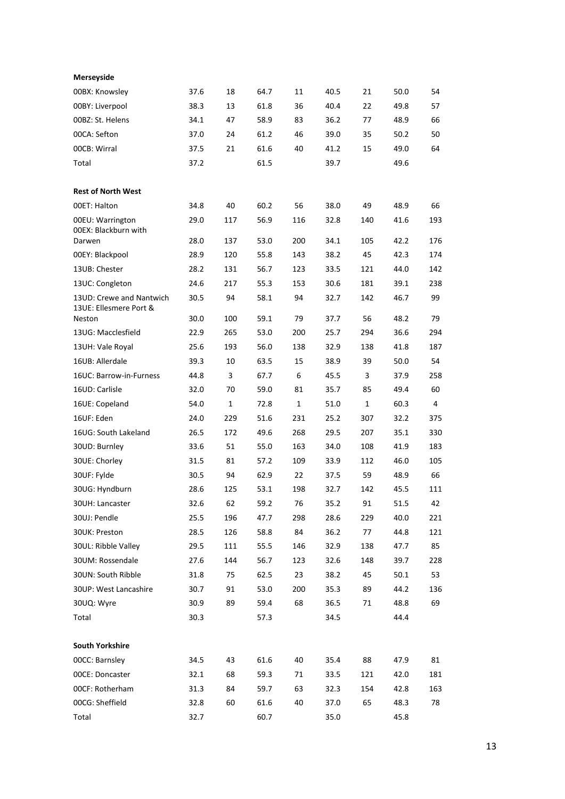| Merseyside                          |              |            |      |     |      |     |      |     |
|-------------------------------------|--------------|------------|------|-----|------|-----|------|-----|
| 00BX: Knowsley                      | 37.6         | 18         | 64.7 | 11  | 40.5 | 21  | 50.0 | 54  |
| 00BY: Liverpool                     | 38.3         | 13         | 61.8 | 36  | 40.4 | 22  | 49.8 | 57  |
| 00BZ: St. Helens                    | 34.1         | 47         | 58.9 | 83  | 36.2 | 77  | 48.9 | 66  |
| 00CA: Sefton                        | 37.0         | 24         | 61.2 | 46  | 39.0 | 35  | 50.2 | 50  |
| 00CB: Wirral                        | 37.5         | 21         | 61.6 | 40  | 41.2 | 15  | 49.0 | 64  |
| Total                               | 37.2         |            | 61.5 |     | 39.7 |     | 49.6 |     |
| <b>Rest of North West</b>           |              |            |      |     |      |     |      |     |
| 00ET: Halton                        | 34.8         | 40         | 60.2 | 56  | 38.0 | 49  | 48.9 | 66  |
| 00EU: Warrington                    | 29.0         | 117        | 56.9 | 116 | 32.8 | 140 | 41.6 | 193 |
| 00EX: Blackburn with<br>Darwen      | 28.0         | 137        | 53.0 | 200 | 34.1 | 105 | 42.2 | 176 |
| 00EY: Blackpool                     | 28.9         | 120        | 55.8 | 143 | 38.2 | 45  | 42.3 | 174 |
| 13UB: Chester                       | 28.2         | 131        | 56.7 | 123 | 33.5 | 121 | 44.0 | 142 |
| 13UC: Congleton                     | 24.6         | 217        | 55.3 | 153 | 30.6 | 181 | 39.1 | 238 |
| 13UD: Crewe and Nantwich            | 30.5         | 94         | 58.1 | 94  | 32.7 | 142 | 46.7 | 99  |
| 13UE: Ellesmere Port &              |              |            | 59.1 | 79  | 37.7 | 56  | 48.2 | 79  |
| Neston<br>13UG: Macclesfield        | 30.0<br>22.9 | 100<br>265 | 53.0 | 200 | 25.7 | 294 | 36.6 | 294 |
|                                     | 25.6         | 193        | 56.0 | 138 | 32.9 | 138 | 41.8 | 187 |
| 13UH: Vale Royal<br>16UB: Allerdale | 39.3         | 10         | 63.5 | 15  | 38.9 | 39  | 50.0 | 54  |
| 16UC: Barrow-in-Furness             | 44.8         | 3          | 67.7 | 6   | 45.5 | 3   | 37.9 | 258 |
| 16UD: Carlisle                      | 32.0         | 70         | 59.0 | 81  | 35.7 | 85  | 49.4 | 60  |
|                                     |              |            |      |     |      | 1   |      | 4   |
| 16UE: Copeland                      | 54.0         | 1          | 72.8 | 1   | 51.0 |     | 60.3 |     |
| 16UF: Eden                          | 24.0         | 229        | 51.6 | 231 | 25.2 | 307 | 32.2 | 375 |
| 16UG: South Lakeland                | 26.5         | 172        | 49.6 | 268 | 29.5 | 207 | 35.1 | 330 |
| 30UD: Burnley                       | 33.6         | 51         | 55.0 | 163 | 34.0 | 108 | 41.9 | 183 |
| 30UE: Chorley                       | 31.5         | 81         | 57.2 | 109 | 33.9 | 112 | 46.0 | 105 |
| 30UF: Fylde                         | 30.5         | 94         | 62.9 | 22  | 37.5 | 59  | 48.9 | 66  |
| 30UG: Hyndburn                      | 28.6         | 125        | 53.1 | 198 | 32.7 | 142 | 45.5 | 111 |
| 30UH: Lancaster                     | 32.6         | 62         | 59.2 | 76  | 35.2 | 91  | 51.5 | 42  |
| 30UJ: Pendle                        | 25.5         | 196        | 47.7 | 298 | 28.6 | 229 | 40.0 | 221 |
| 30UK: Preston                       | 28.5         | 126        | 58.8 | 84  | 36.2 | 77  | 44.8 | 121 |
| 30UL: Ribble Valley                 | 29.5         | 111        | 55.5 | 146 | 32.9 | 138 | 47.7 | 85  |
| 30UM: Rossendale                    | 27.6         | 144        | 56.7 | 123 | 32.6 | 148 | 39.7 | 228 |
| 30UN: South Ribble                  | 31.8         | 75         | 62.5 | 23  | 38.2 | 45  | 50.1 | 53  |
| 30UP: West Lancashire               | 30.7         | 91         | 53.0 | 200 | 35.3 | 89  | 44.2 | 136 |
| 30UQ: Wyre                          | 30.9         | 89         | 59.4 | 68  | 36.5 | 71  | 48.8 | 69  |
| Total                               | 30.3         |            | 57.3 |     | 34.5 |     | 44.4 |     |
| <b>South Yorkshire</b>              |              |            |      |     |      |     |      |     |
| 00CC: Barnsley                      | 34.5         | 43         | 61.6 | 40  | 35.4 | 88  | 47.9 | 81  |
| 00CE: Doncaster                     | 32.1         | 68         | 59.3 | 71  | 33.5 | 121 | 42.0 | 181 |
| OOCF: Rotherham                     | 31.3         | 84         | 59.7 | 63  | 32.3 | 154 | 42.8 | 163 |
| 00CG: Sheffield                     | 32.8         | 60         | 61.6 | 40  | 37.0 | 65  | 48.3 | 78  |
| Total                               | 32.7         |            | 60.7 |     | 35.0 |     | 45.8 |     |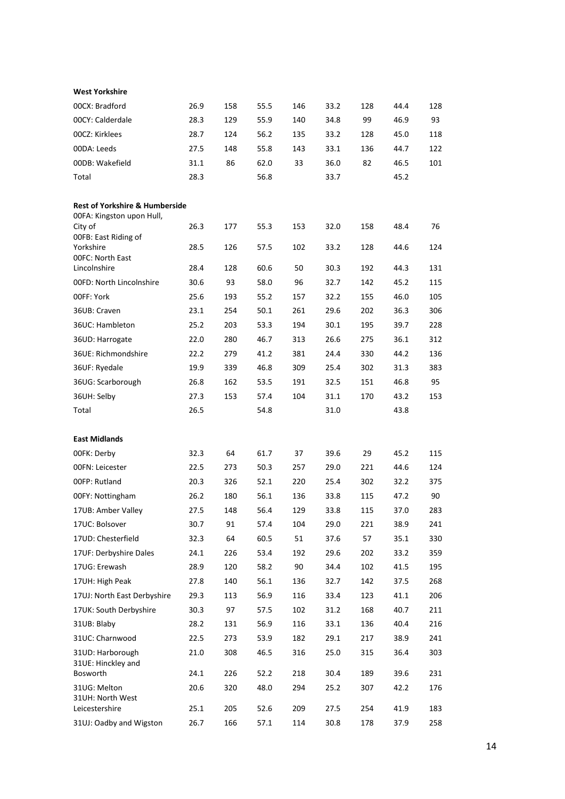| <b>West Yorkshire</b>                                                                                                                                                                                                                                                                                                          |                                                                                      |                                                                          |                                                                                      |                                                                         |                                                                                      |                                                                           |                                                                                      |                                                                         |
|--------------------------------------------------------------------------------------------------------------------------------------------------------------------------------------------------------------------------------------------------------------------------------------------------------------------------------|--------------------------------------------------------------------------------------|--------------------------------------------------------------------------|--------------------------------------------------------------------------------------|-------------------------------------------------------------------------|--------------------------------------------------------------------------------------|---------------------------------------------------------------------------|--------------------------------------------------------------------------------------|-------------------------------------------------------------------------|
| 00CX: Bradford                                                                                                                                                                                                                                                                                                                 | 26.9                                                                                 | 158                                                                      | 55.5                                                                                 | 146                                                                     | 33.2                                                                                 | 128                                                                       | 44.4                                                                                 | 128                                                                     |
| 00CY: Calderdale                                                                                                                                                                                                                                                                                                               | 28.3                                                                                 | 129                                                                      | 55.9                                                                                 | 140                                                                     | 34.8                                                                                 | 99                                                                        | 46.9                                                                                 | 93                                                                      |
| 00CZ: Kirklees                                                                                                                                                                                                                                                                                                                 | 28.7                                                                                 | 124                                                                      | 56.2                                                                                 | 135                                                                     | 33.2                                                                                 | 128                                                                       | 45.0                                                                                 | 118                                                                     |
| 00DA: Leeds                                                                                                                                                                                                                                                                                                                    | 27.5                                                                                 | 148                                                                      | 55.8                                                                                 | 143                                                                     | 33.1                                                                                 | 136                                                                       | 44.7                                                                                 | 122                                                                     |
| 00DB: Wakefield                                                                                                                                                                                                                                                                                                                | 31.1                                                                                 | 86                                                                       | 62.0                                                                                 | 33                                                                      | 36.0                                                                                 | 82                                                                        | 46.5                                                                                 | 101                                                                     |
| Total                                                                                                                                                                                                                                                                                                                          | 28.3                                                                                 |                                                                          | 56.8                                                                                 |                                                                         | 33.7                                                                                 |                                                                           | 45.2                                                                                 |                                                                         |
| <b>Rest of Yorkshire &amp; Humberside</b><br>00FA: Kingston upon Hull,<br>City of<br>OOFB: East Riding of<br>Yorkshire<br><b>OOFC: North East</b><br>Lincolnshire<br>00FD: North Lincolnshire<br>00FF: York<br>36UB: Craven<br>36UC: Hambleton<br>36UD: Harrogate<br>36UE: Richmondshire<br>36UF: Ryedale<br>36UG: Scarborough | 26.3<br>28.5<br>28.4<br>30.6<br>25.6<br>23.1<br>25.2<br>22.0<br>22.2<br>19.9<br>26.8 | 177<br>126<br>128<br>93<br>193<br>254<br>203<br>280<br>279<br>339<br>162 | 55.3<br>57.5<br>60.6<br>58.0<br>55.2<br>50.1<br>53.3<br>46.7<br>41.2<br>46.8<br>53.5 | 153<br>102<br>50<br>96<br>157<br>261<br>194<br>313<br>381<br>309<br>191 | 32.0<br>33.2<br>30.3<br>32.7<br>32.2<br>29.6<br>30.1<br>26.6<br>24.4<br>25.4<br>32.5 | 158<br>128<br>192<br>142<br>155<br>202<br>195<br>275<br>330<br>302<br>151 | 48.4<br>44.6<br>44.3<br>45.2<br>46.0<br>36.3<br>39.7<br>36.1<br>44.2<br>31.3<br>46.8 | 76<br>124<br>131<br>115<br>105<br>306<br>228<br>312<br>136<br>383<br>95 |
| 36UH: Selby                                                                                                                                                                                                                                                                                                                    | 27.3                                                                                 | 153                                                                      | 57.4                                                                                 | 104                                                                     | 31.1                                                                                 | 170                                                                       | 43.2                                                                                 | 153                                                                     |
| Total                                                                                                                                                                                                                                                                                                                          | 26.5                                                                                 |                                                                          | 54.8                                                                                 |                                                                         | 31.0                                                                                 |                                                                           | 43.8                                                                                 |                                                                         |
|                                                                                                                                                                                                                                                                                                                                |                                                                                      |                                                                          |                                                                                      |                                                                         |                                                                                      |                                                                           |                                                                                      |                                                                         |
| <b>East Midlands</b>                                                                                                                                                                                                                                                                                                           |                                                                                      |                                                                          |                                                                                      |                                                                         |                                                                                      |                                                                           |                                                                                      |                                                                         |
| 00FK: Derby                                                                                                                                                                                                                                                                                                                    | 32.3                                                                                 | 64                                                                       | 61.7                                                                                 | 37                                                                      | 39.6                                                                                 | 29                                                                        | 45.2                                                                                 | 115                                                                     |
| 00FN: Leicester                                                                                                                                                                                                                                                                                                                | 22.5                                                                                 | 273                                                                      | 50.3                                                                                 | 257                                                                     | 29.0                                                                                 | 221                                                                       | 44.6                                                                                 | 124                                                                     |
| 00FP: Rutland                                                                                                                                                                                                                                                                                                                  | 20.3                                                                                 | 326                                                                      | 52.1                                                                                 | 220                                                                     | 25.4                                                                                 | 302                                                                       | 32.2                                                                                 | 375                                                                     |
| 00FY: Nottingham                                                                                                                                                                                                                                                                                                               | 26.2                                                                                 | 180                                                                      | 56.1                                                                                 | 136                                                                     | 33.8                                                                                 | 115                                                                       | 47.2                                                                                 | 90                                                                      |
| 17UB: Amber Valley                                                                                                                                                                                                                                                                                                             | 27.5                                                                                 | 148                                                                      | 56.4                                                                                 | 129                                                                     | 33.8                                                                                 | 115                                                                       | 37.0                                                                                 | 283                                                                     |
| 17UC: Bolsover                                                                                                                                                                                                                                                                                                                 | 30.7                                                                                 | 91                                                                       | 57.4                                                                                 | 104                                                                     | 29.0                                                                                 | 221                                                                       | 38.9                                                                                 | 241                                                                     |
| 17UD: Chesterfield                                                                                                                                                                                                                                                                                                             | 32.3                                                                                 | 64                                                                       | 60.5                                                                                 | 51                                                                      | 37.6                                                                                 | 57                                                                        | 35.1                                                                                 | 330                                                                     |
| 17UF: Derbyshire Dales                                                                                                                                                                                                                                                                                                         | 24.1                                                                                 | 226                                                                      | 53.4                                                                                 | 192                                                                     | 29.6                                                                                 | 202                                                                       | 33.2                                                                                 | 359                                                                     |
| 17UG: Erewash                                                                                                                                                                                                                                                                                                                  | 28.9                                                                                 | 120                                                                      | 58.2                                                                                 | 90                                                                      | 34.4                                                                                 | 102                                                                       | 41.5                                                                                 | 195                                                                     |
| 17UH: High Peak                                                                                                                                                                                                                                                                                                                | 27.8                                                                                 | 140                                                                      | 56.1                                                                                 | 136                                                                     | 32.7                                                                                 | 142                                                                       | 37.5                                                                                 | 268                                                                     |
| 17UJ: North East Derbyshire                                                                                                                                                                                                                                                                                                    | 29.3                                                                                 | 113                                                                      | 56.9                                                                                 | 116                                                                     | 33.4                                                                                 | 123                                                                       | 41.1                                                                                 | 206                                                                     |
| 17UK: South Derbyshire                                                                                                                                                                                                                                                                                                         | 30.3                                                                                 | 97                                                                       | 57.5                                                                                 | 102                                                                     | 31.2                                                                                 | 168                                                                       | 40.7                                                                                 | 211                                                                     |
| 31UB: Blaby                                                                                                                                                                                                                                                                                                                    | 28.2                                                                                 | 131                                                                      | 56.9                                                                                 | 116                                                                     | 33.1                                                                                 | 136                                                                       | 40.4                                                                                 | 216                                                                     |
| 31UC: Charnwood                                                                                                                                                                                                                                                                                                                | 22.5                                                                                 | 273                                                                      | 53.9                                                                                 | 182                                                                     | 29.1                                                                                 | 217                                                                       | 38.9                                                                                 | 241                                                                     |
| 31UD: Harborough<br>31UE: Hinckley and                                                                                                                                                                                                                                                                                         | 21.0                                                                                 | 308                                                                      | 46.5                                                                                 | 316                                                                     | 25.0                                                                                 | 315                                                                       | 36.4                                                                                 | 303                                                                     |
| Bosworth                                                                                                                                                                                                                                                                                                                       | 24.1                                                                                 | 226                                                                      | 52.2                                                                                 | 218                                                                     | 30.4                                                                                 | 189                                                                       | 39.6                                                                                 | 231                                                                     |
| 31UG: Melton<br>31UH: North West<br>Leicestershire                                                                                                                                                                                                                                                                             | 20.6<br>25.1                                                                         | 320<br>205                                                               | 48.0<br>52.6                                                                         | 294<br>209                                                              | 25.2<br>27.5                                                                         | 307<br>254                                                                | 42.2<br>41.9                                                                         | 176<br>183                                                              |
| 31UJ: Oadby and Wigston                                                                                                                                                                                                                                                                                                        | 26.7                                                                                 | 166                                                                      | 57.1                                                                                 | 114                                                                     | 30.8                                                                                 | 178                                                                       | 37.9                                                                                 | 258                                                                     |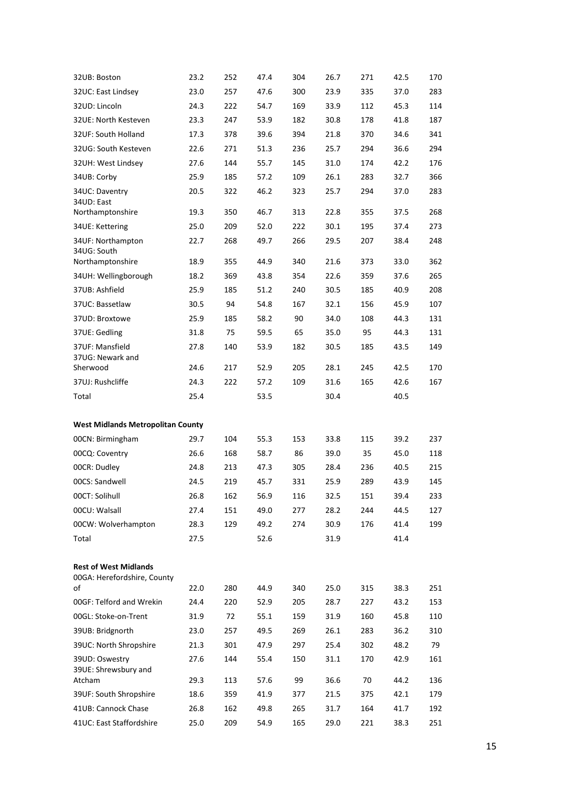| 32UB: Boston                                                | 23.2         | 252        | 47.4         | 304        | 26.7         | 271        | 42.5         | 170        |
|-------------------------------------------------------------|--------------|------------|--------------|------------|--------------|------------|--------------|------------|
| 32UC: East Lindsey                                          | 23.0         | 257        | 47.6         | 300        | 23.9         | 335        | 37.0         | 283        |
| 32UD: Lincoln                                               | 24.3         | 222        | 54.7         | 169        | 33.9         | 112        | 45.3         | 114        |
| 32UE: North Kesteven                                        | 23.3         | 247        | 53.9         | 182        | 30.8         | 178        | 41.8         | 187        |
| 32UF: South Holland                                         | 17.3         | 378        | 39.6         | 394        | 21.8         | 370        | 34.6         | 341        |
| 32UG: South Kesteven                                        | 22.6         | 271        | 51.3         | 236        | 25.7         | 294        | 36.6         | 294        |
| 32UH: West Lindsey                                          | 27.6         | 144        | 55.7         | 145        | 31.0         | 174        | 42.2         | 176        |
| 34UB: Corby                                                 | 25.9         | 185        | 57.2         | 109        | 26.1         | 283        | 32.7         | 366        |
| 34UC: Daventry<br>34UD: East<br>Northamptonshire            | 20.5<br>19.3 | 322<br>350 | 46.2<br>46.7 | 323<br>313 | 25.7<br>22.8 | 294<br>355 | 37.0<br>37.5 | 283<br>268 |
| 34UE: Kettering                                             | 25.0         | 209        | 52.0         | 222        | 30.1         | 195        | 37.4         | 273        |
| 34UF: Northampton                                           | 22.7         | 268        | 49.7         | 266        | 29.5         | 207        | 38.4         | 248        |
| 34UG: South<br>Northamptonshire                             | 18.9         | 355        | 44.9         | 340        | 21.6         | 373        | 33.0         | 362        |
| 34UH: Wellingborough                                        | 18.2         | 369        | 43.8         | 354        | 22.6         | 359        | 37.6         | 265        |
| 37UB: Ashfield                                              | 25.9         | 185        | 51.2         | 240        | 30.5         | 185        | 40.9         | 208        |
| 37UC: Bassetlaw                                             | 30.5         | 94         | 54.8         | 167        | 32.1         | 156        | 45.9         | 107        |
| 37UD: Broxtowe                                              | 25.9         | 185        | 58.2         | 90         | 34.0         | 108        | 44.3         | 131        |
| 37UE: Gedling                                               | 31.8         | 75         | 59.5         | 65         | 35.0         | 95         | 44.3         | 131        |
| 37UF: Mansfield<br>37UG: Newark and                         | 27.8         | 140        | 53.9         | 182        | 30.5         | 185        | 43.5         | 149        |
| Sherwood                                                    | 24.6         | 217        | 52.9         | 205        | 28.1         | 245        | 42.5         | 170        |
| 37UJ: Rushcliffe                                            | 24.3         | 222        | 57.2         | 109        | 31.6         | 165        | 42.6         | 167        |
| Total                                                       | 25.4         |            | 53.5         |            | 30.4         |            | 40.5         |            |
| <b>West Midlands Metropolitan County</b>                    |              |            |              |            |              |            |              |            |
| 00CN: Birmingham                                            | 29.7         | 104        | 55.3         | 153        | 33.8         | 115        | 39.2         | 237        |
|                                                             |              |            |              |            |              |            | 45.0         | 118        |
| 00CQ: Coventry                                              | 26.6         | 168        | 58.7         | 86         | 39.0         | 35         |              |            |
| 00CR: Dudley                                                | 24.8         | 213        | 47.3         | 305        | 28.4         | 236        | 40.5         | 215        |
| 00CS: Sandwell                                              | 24.5         | 219        | 45.7         | 331        | 25.9         | 289        | 43.9         | 145        |
| 00CT: Solihull                                              | 26.8         | 162        | 56.9         | 116        | 32.5         | 151        | 39.4         | 233        |
| 00CU: Walsall                                               | 27.4         | 151        | 49.0         | 277        | 28.2         | 244        | 44.5         | 127        |
| 00CW: Wolverhampton                                         | 28.3         | 129        | 49.2         | 274        | 30.9         | 176        | 41.4         | 199        |
| Total                                                       | 27.5         |            | 52.6         |            | 31.9         |            | 41.4         |            |
| <b>Rest of West Midlands</b><br>00GA: Herefordshire, County |              |            |              |            |              |            |              |            |
| οf                                                          | 22.0         | 280        | 44.9         | 340        | 25.0         | 315        | 38.3         | 251        |
| 00GF: Telford and Wrekin                                    | 24.4         | 220        | 52.9         | 205        | 28.7         | 227        | 43.2         | 153        |
| 00GL: Stoke-on-Trent                                        | 31.9         | 72         | 55.1         | 159        | 31.9         | 160        | 45.8         | 110        |
| 39UB: Bridgnorth                                            | 23.0         | 257        | 49.5         | 269        | 26.1         | 283        | 36.2         | 310        |
| 39UC: North Shropshire                                      | 21.3         | 301        | 47.9         | 297        | 25.4         | 302        | 48.2         | 79         |
| 39UD: Oswestry<br>39UE: Shrewsbury and                      | 27.6         | 144        | 55.4         | 150        | 31.1         | 170        | 42.9         | 161        |
| Atcham                                                      | 29.3         | 113        | 57.6         | 99         | 36.6         | 70         | 44.2         | 136        |
| 39UF: South Shropshire                                      | 18.6         | 359        | 41.9         | 377        | 21.5         | 375        | 42.1         | 179        |
| 41UB: Cannock Chase<br>41UC: East Staffordshire             | 26.8<br>25.0 | 162<br>209 | 49.8<br>54.9 | 265<br>165 | 31.7<br>29.0 | 164<br>221 | 41.7<br>38.3 | 192<br>251 |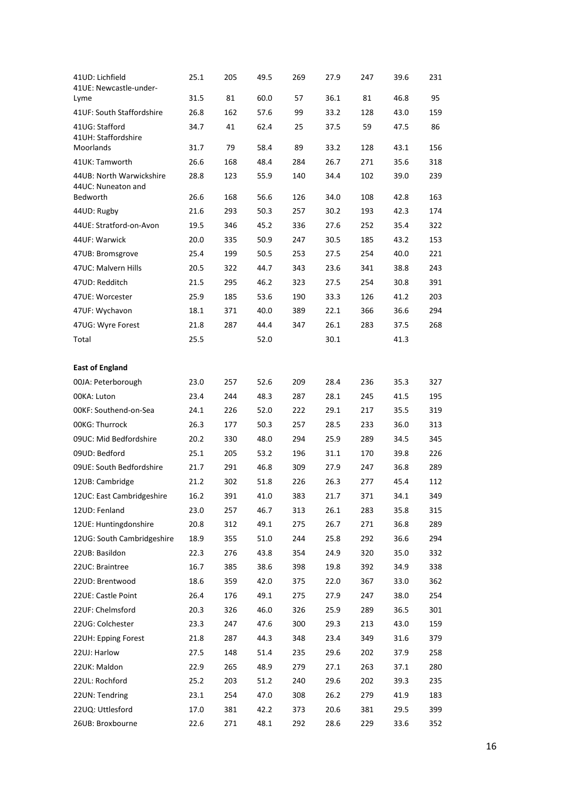| 41UD: Lichfield<br>41UE: Newcastle-under-<br>Lyme | 25.1<br>31.5 | 205<br>81 | 49.5<br>60.0 | 269<br>57 | 27.9<br>36.1 | 247<br>81 | 39.6<br>46.8 | 231<br>95 |
|---------------------------------------------------|--------------|-----------|--------------|-----------|--------------|-----------|--------------|-----------|
| 41UF: South Staffordshire                         | 26.8         | 162       | 57.6         | 99        | 33.2         | 128       | 43.0         | 159       |
| 41UG: Stafford<br>41UH: Staffordshire             | 34.7         | 41        | 62.4         | 25        | 37.5         | 59        | 47.5         | 86        |
| Moorlands                                         | 31.7         | 79        | 58.4         | 89        | 33.2         | 128       | 43.1         | 156       |
| 41UK: Tamworth                                    | 26.6         | 168       | 48.4         | 284       | 26.7         | 271       | 35.6         | 318       |
| 44UB: North Warwickshire                          | 28.8         | 123       | 55.9         | 140       | 34.4         | 102       | 39.0         | 239       |
| 44UC: Nuneaton and<br>Bedworth                    | 26.6         | 168       | 56.6         | 126       | 34.0         | 108       | 42.8         | 163       |
| 44UD: Rugby                                       | 21.6         | 293       | 50.3         | 257       | 30.2         | 193       | 42.3         | 174       |
| 44UE: Stratford-on-Avon                           | 19.5         | 346       | 45.2         | 336       | 27.6         | 252       | 35.4         | 322       |
| 44UF: Warwick                                     | 20.0         | 335       | 50.9         | 247       | 30.5         | 185       | 43.2         | 153       |
| 47UB: Bromsgrove                                  | 25.4         | 199       | 50.5         | 253       | 27.5         | 254       | 40.0         | 221       |
| 47UC: Malvern Hills                               | 20.5         | 322       | 44.7         | 343       | 23.6         | 341       | 38.8         | 243       |
| 47UD: Redditch                                    | 21.5         | 295       | 46.2         | 323       | 27.5         | 254       | 30.8         | 391       |
| 47UE: Worcester                                   | 25.9         | 185       | 53.6         | 190       | 33.3         | 126       | 41.2         | 203       |
| 47UF: Wychavon                                    | 18.1         | 371       | 40.0         | 389       | 22.1         | 366       | 36.6         | 294       |
| 47UG: Wyre Forest                                 | 21.8         | 287       | 44.4         | 347       | 26.1         | 283       | 37.5         | 268       |
| Total                                             | 25.5         |           | 52.0         |           | 30.1         |           | 41.3         |           |
| <b>East of England</b>                            |              |           |              |           |              |           |              |           |
| 00JA: Peterborough                                | 23.0         | 257       | 52.6         | 209       | 28.4         | 236       | 35.3         | 327       |
| 00KA: Luton                                       | 23.4         | 244       | 48.3         | 287       | 28.1         | 245       | 41.5         | 195       |
| OOKF: Southend-on-Sea                             | 24.1         | 226       | 52.0         | 222       | 29.1         | 217       | 35.5         | 319       |
| <b>00KG: Thurrock</b>                             | 26.3         | 177       | 50.3         | 257       | 28.5         | 233       | 36.0         | 313       |
| 09UC: Mid Bedfordshire                            | 20.2         | 330       | 48.0         | 294       | 25.9         | 289       | 34.5         | 345       |
| 09UD: Bedford                                     | 25.1         | 205       | 53.2         | 196       | 31.1         | 170       | 39.8         | 226       |
| 09UE: South Bedfordshire                          | 21.7         | 291       | 46.8         | 309       | 27.9         | 247       | 36.8         | 289       |
| 12UB: Cambridge                                   | 21.2         | 302       | 51.8         | 226       | 26.3         | 277       | 45.4         | 112       |
| 12UC: East Cambridgeshire                         | 16.2         | 391       | 41.0         | 383       | 21.7         | 371       | 34.1         | 349       |
| 12UD: Fenland                                     | 23.0         | 257       | 46.7         | 313       | 26.1         | 283       | 35.8         | 315       |
| 12UE: Huntingdonshire                             | 20.8         | 312       | 49.1         | 275       | 26.7         | 271       | 36.8         | 289       |
| 12UG: South Cambridgeshire                        | 18.9         | 355       | 51.0         | 244       | 25.8         | 292       | 36.6         | 294       |
| 22UB: Basildon                                    | 22.3         | 276       | 43.8         | 354       | 24.9         | 320       | 35.0         | 332       |
| 22UC: Braintree                                   | 16.7         | 385       | 38.6         | 398       | 19.8         | 392       | 34.9         | 338       |
| 22UD: Brentwood                                   | 18.6         | 359       | 42.0         | 375       | 22.0         | 367       | 33.0         | 362       |
| 22UE: Castle Point                                | 26.4         | 176       | 49.1         | 275       | 27.9         | 247       | 38.0         | 254       |
| 22UF: Chelmsford                                  | 20.3         | 326       | 46.0         | 326       | 25.9         | 289       | 36.5         | 301       |
| 22UG: Colchester                                  | 23.3         | 247       | 47.6         | 300       | 29.3         | 213       | 43.0         | 159       |
| 22UH: Epping Forest                               | 21.8         | 287       | 44.3         | 348       | 23.4         | 349       | 31.6         | 379       |
| 22UJ: Harlow                                      | 27.5         | 148       | 51.4         | 235       | 29.6         | 202       | 37.9         | 258       |
| 22UK: Maldon                                      | 22.9         | 265       | 48.9         | 279       | 27.1         | 263       | 37.1         | 280       |
| 22UL: Rochford                                    | 25.2         | 203       | 51.2         | 240       | 29.6         | 202       | 39.3         | 235       |
| 22UN: Tendring                                    | 23.1         | 254       | 47.0         | 308       | 26.2         | 279       | 41.9         | 183       |
| 22UQ: Uttlesford                                  | 17.0         | 381       | 42.2         | 373       | 20.6         | 381       | 29.5         | 399       |
| 26UB: Broxbourne                                  | 22.6         | 271       | 48.1         | 292       | 28.6         | 229       | 33.6         | 352       |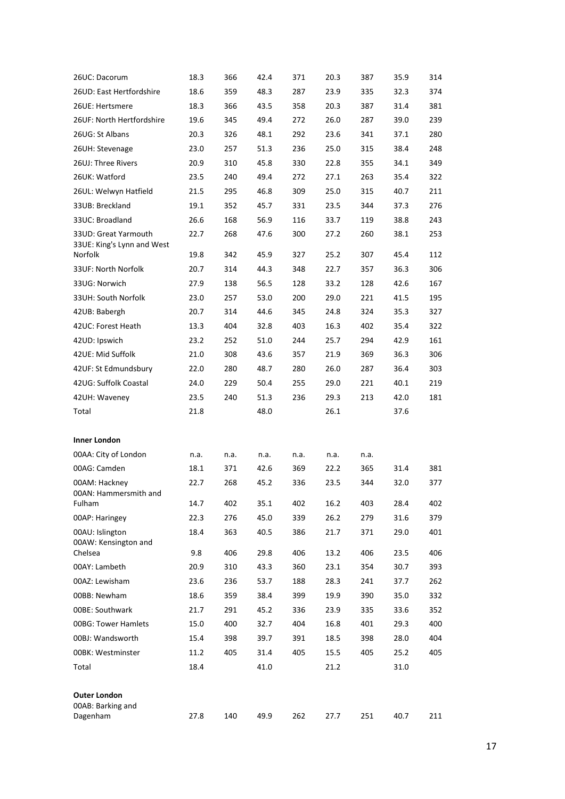| 26UC: Dacorum                                      | 18.3         | 366        | 42.4         | 371        | 20.3         | 387        | 35.9         | 314        |
|----------------------------------------------------|--------------|------------|--------------|------------|--------------|------------|--------------|------------|
| 26UD: East Hertfordshire                           | 18.6         | 359        | 48.3         | 287        | 23.9         | 335        | 32.3         | 374        |
| 26UE: Hertsmere                                    | 18.3         | 366        | 43.5         | 358        | 20.3         | 387        | 31.4         | 381        |
| 26UF: North Hertfordshire                          | 19.6         | 345        | 49.4         | 272        | 26.0         | 287        | 39.0         | 239        |
| 26UG: St Albans                                    | 20.3         | 326        | 48.1         | 292        | 23.6         | 341        | 37.1         | 280        |
| 26UH: Stevenage                                    | 23.0         | 257        | 51.3         | 236        | 25.0         | 315        | 38.4         | 248        |
| 26UJ: Three Rivers                                 | 20.9         | 310        | 45.8         | 330        | 22.8         | 355        | 34.1         | 349        |
| 26UK: Watford                                      | 23.5         | 240        | 49.4         | 272        | 27.1         | 263        | 35.4         | 322        |
| 26UL: Welwyn Hatfield                              | 21.5         | 295        | 46.8         | 309        | 25.0         | 315        | 40.7         | 211        |
| 33UB: Breckland                                    | 19.1         | 352        | 45.7         | 331        | 23.5         | 344        | 37.3         | 276        |
| 33UC: Broadland                                    | 26.6         | 168        | 56.9         | 116        | 33.7         | 119        | 38.8         | 243        |
| 33UD: Great Yarmouth<br>33UE: King's Lynn and West | 22.7         | 268        | 47.6         | 300        | 27.2         | 260        | 38.1         | 253        |
| Norfolk                                            | 19.8         | 342        | 45.9         | 327        | 25.2         | 307        | 45.4         | 112        |
| 33UF: North Norfolk                                | 20.7         | 314        | 44.3         | 348        | 22.7         | 357        | 36.3         | 306        |
| 33UG: Norwich                                      | 27.9         | 138        | 56.5         | 128        | 33.2         | 128        | 42.6         | 167        |
| 33UH: South Norfolk                                | 23.0         | 257        | 53.0         | 200        | 29.0         | 221        | 41.5         | 195        |
| 42UB: Babergh                                      | 20.7         | 314        | 44.6         | 345        | 24.8         | 324        | 35.3         | 327        |
| 42UC: Forest Heath                                 | 13.3         | 404        | 32.8         | 403        | 16.3         | 402        | 35.4         | 322        |
| 42UD: Ipswich                                      | 23.2         | 252        | 51.0         | 244        | 25.7         | 294        | 42.9         | 161        |
| 42UE: Mid Suffolk                                  | 21.0         | 308        | 43.6         | 357        | 21.9         | 369        | 36.3         | 306        |
| 42UF: St Edmundsbury                               | 22.0         | 280        | 48.7         | 280        | 26.0         | 287        | 36.4         | 303        |
| 42UG: Suffolk Coastal                              | 24.0         | 229        | 50.4         | 255        | 29.0         | 221        | 40.1         | 219        |
| 42UH: Waveney                                      | 23.5         | 240        | 51.3         | 236        | 29.3         | 213        | 42.0         | 181        |
| Total                                              | 21.8         |            | 48.0         |            | 26.1         |            | 37.6         |            |
| <b>Inner London</b>                                |              |            |              |            |              |            |              |            |
| 00AA: City of London                               | n.a.         | n.a.       | n.a.         | n.a.       | n.a.         | n.a.       |              |            |
| 00AG: Camden                                       | 18.1         | 371        | 42.6         | 369        | 22.2         | 365        | 31.4         | 381        |
| 00AM: Hackney<br>00AN: Hammersmith and<br>Fulham   | 22.7<br>14.7 | 268<br>402 | 45.2<br>35.1 | 336<br>402 | 23.5<br>16.2 | 344<br>403 | 32.0<br>28.4 | 377<br>402 |
| 00AP: Haringey                                     | 22.3         | 276        | 45.0         | 339        | 26.2         | 279        | 31.6         | 379        |
| 00AU: Islington                                    | 18.4         | 363        | 40.5         | 386        | 21.7         | 371        | 29.0         | 401        |
| 00AW: Kensington and<br>Chelsea                    | 9.8          | 406        | 29.8         | 406        | 13.2         | 406        | 23.5         | 406        |
| 00AY: Lambeth                                      | 20.9         | 310        | 43.3         | 360        | 23.1         | 354        | 30.7         | 393        |
| 00AZ: Lewisham                                     | 23.6         | 236        | 53.7         | 188        | 28.3         | 241        | 37.7         | 262        |
| 00BB: Newham                                       | 18.6         | 359        | 38.4         | 399        | 19.9         | 390        | 35.0         | 332        |
| 00BE: Southwark                                    | 21.7         | 291        | 45.2         | 336        | 23.9         | 335        | 33.6         | 352        |
| <b>00BG: Tower Hamlets</b>                         | 15.0         | 400        | 32.7         | 404        | 16.8         | 401        | 29.3         | 400        |
| 00BJ: Wandsworth                                   | 15.4         | 398        | 39.7         | 391        | 18.5         | 398        | 28.0         | 404        |
| 00BK: Westminster                                  | 11.2         | 405        | 31.4         | 405        | 15.5         | 405        | 25.2         | 405        |
| Total                                              | 18.4         |            | 41.0         |            | 21.2         |            | 31.0         |            |
| <b>Outer London</b>                                |              |            |              |            |              |            |              |            |
| 00AB: Barking and<br>Dagenham                      | 27.8         | 140        | 49.9         | 262        | 27.7         | 251        | 40.7         | 211        |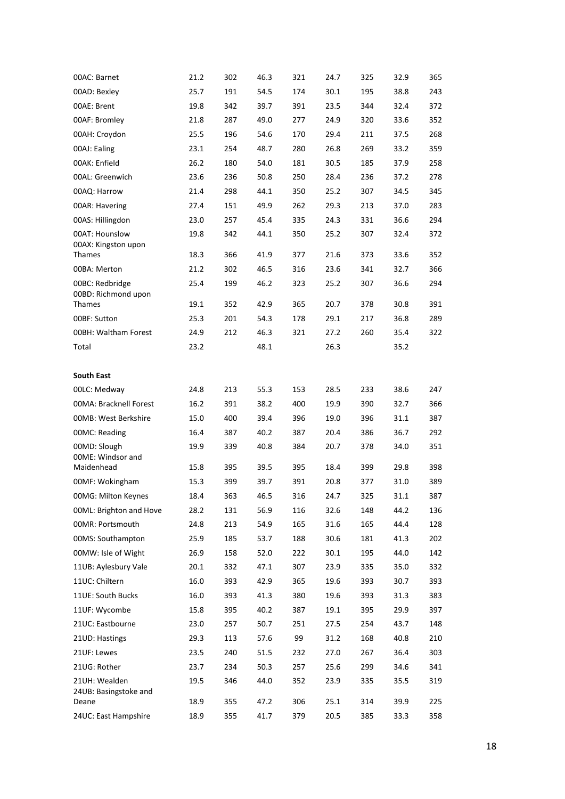| 00AC: Barnet                           | 21.2 | 302 | 46.3 | 321 | 24.7 | 325 | 32.9 | 365 |
|----------------------------------------|------|-----|------|-----|------|-----|------|-----|
| 00AD: Bexley                           | 25.7 | 191 | 54.5 | 174 | 30.1 | 195 | 38.8 | 243 |
| 00AE: Brent                            | 19.8 | 342 | 39.7 | 391 | 23.5 | 344 | 32.4 | 372 |
| 00AF: Bromley                          | 21.8 | 287 | 49.0 | 277 | 24.9 | 320 | 33.6 | 352 |
| 00AH: Croydon                          | 25.5 | 196 | 54.6 | 170 | 29.4 | 211 | 37.5 | 268 |
| 00AJ: Ealing                           | 23.1 | 254 | 48.7 | 280 | 26.8 | 269 | 33.2 | 359 |
| 00AK: Enfield                          | 26.2 | 180 | 54.0 | 181 | 30.5 | 185 | 37.9 | 258 |
| 00AL: Greenwich                        | 23.6 | 236 | 50.8 | 250 | 28.4 | 236 | 37.2 | 278 |
| 00AQ: Harrow                           | 21.4 | 298 | 44.1 | 350 | 25.2 | 307 | 34.5 | 345 |
| 00AR: Havering                         | 27.4 | 151 | 49.9 | 262 | 29.3 | 213 | 37.0 | 283 |
| 00AS: Hillingdon                       | 23.0 | 257 | 45.4 | 335 | 24.3 | 331 | 36.6 | 294 |
| 00AT: Hounslow<br>00AX: Kingston upon  | 19.8 | 342 | 44.1 | 350 | 25.2 | 307 | 32.4 | 372 |
| <b>Thames</b>                          | 18.3 | 366 | 41.9 | 377 | 21.6 | 373 | 33.6 | 352 |
| 00BA: Merton                           | 21.2 | 302 | 46.5 | 316 | 23.6 | 341 | 32.7 | 366 |
| 00BC: Redbridge<br>00BD: Richmond upon | 25.4 | 199 | 46.2 | 323 | 25.2 | 307 | 36.6 | 294 |
| Thames                                 | 19.1 | 352 | 42.9 | 365 | 20.7 | 378 | 30.8 | 391 |
| 00BF: Sutton                           | 25.3 | 201 | 54.3 | 178 | 29.1 | 217 | 36.8 | 289 |
| <b>00BH: Waltham Forest</b>            | 24.9 | 212 | 46.3 | 321 | 27.2 | 260 | 35.4 | 322 |
| Total                                  | 23.2 |     | 48.1 |     | 26.3 |     | 35.2 |     |
| <b>South East</b>                      |      |     |      |     |      |     |      |     |
| 00LC: Medway                           | 24.8 | 213 | 55.3 | 153 | 28.5 | 233 | 38.6 | 247 |
| <b>00MA: Bracknell Forest</b>          | 16.2 | 391 | 38.2 | 400 | 19.9 | 390 | 32.7 | 366 |
| 00MB: West Berkshire                   | 15.0 | 400 | 39.4 | 396 | 19.0 | 396 | 31.1 | 387 |
| 00MC: Reading                          | 16.4 | 387 | 40.2 | 387 | 20.4 | 386 | 36.7 | 292 |
| 00MD: Slough                           | 19.9 | 339 | 40.8 | 384 | 20.7 | 378 | 34.0 | 351 |
| 00ME: Windsor and<br>Maidenhead        | 15.8 | 395 | 39.5 | 395 | 18.4 | 399 | 29.8 | 398 |
| 00MF: Wokingham                        | 15.3 | 399 | 39.7 | 391 | 20.8 | 377 | 31.0 | 389 |
| 00MG: Milton Keynes                    | 18.4 | 363 | 46.5 | 316 | 24.7 | 325 | 31.1 | 387 |
| 00ML: Brighton and Hove                | 28.2 | 131 | 56.9 | 116 | 32.6 | 148 | 44.2 | 136 |
| 00MR: Portsmouth                       | 24.8 | 213 | 54.9 | 165 | 31.6 | 165 | 44.4 | 128 |
| 00MS: Southampton                      | 25.9 | 185 | 53.7 | 188 | 30.6 | 181 | 41.3 | 202 |
| 00MW: Isle of Wight                    | 26.9 | 158 | 52.0 | 222 | 30.1 | 195 | 44.0 | 142 |
| 11UB: Aylesbury Vale                   | 20.1 | 332 | 47.1 | 307 | 23.9 | 335 | 35.0 | 332 |
| 11UC: Chiltern                         | 16.0 | 393 | 42.9 | 365 | 19.6 | 393 | 30.7 | 393 |
| 11UE: South Bucks                      | 16.0 | 393 | 41.3 | 380 | 19.6 | 393 | 31.3 | 383 |
| 11UF: Wycombe                          | 15.8 | 395 | 40.2 | 387 | 19.1 | 395 | 29.9 | 397 |
| 21UC: Eastbourne                       | 23.0 | 257 | 50.7 | 251 | 27.5 | 254 | 43.7 | 148 |
| 21UD: Hastings                         | 29.3 | 113 | 57.6 | 99  | 31.2 | 168 | 40.8 | 210 |
| 21UF: Lewes                            | 23.5 | 240 | 51.5 | 232 | 27.0 | 267 | 36.4 | 303 |
| 21UG: Rother                           | 23.7 | 234 | 50.3 | 257 | 25.6 | 299 | 34.6 | 341 |
| 21UH: Wealden<br>24UB: Basingstoke and | 19.5 | 346 | 44.0 | 352 | 23.9 | 335 | 35.5 | 319 |
| Deane                                  | 18.9 | 355 | 47.2 | 306 | 25.1 | 314 | 39.9 | 225 |
| 24UC: East Hampshire                   | 18.9 | 355 | 41.7 | 379 | 20.5 | 385 | 33.3 | 358 |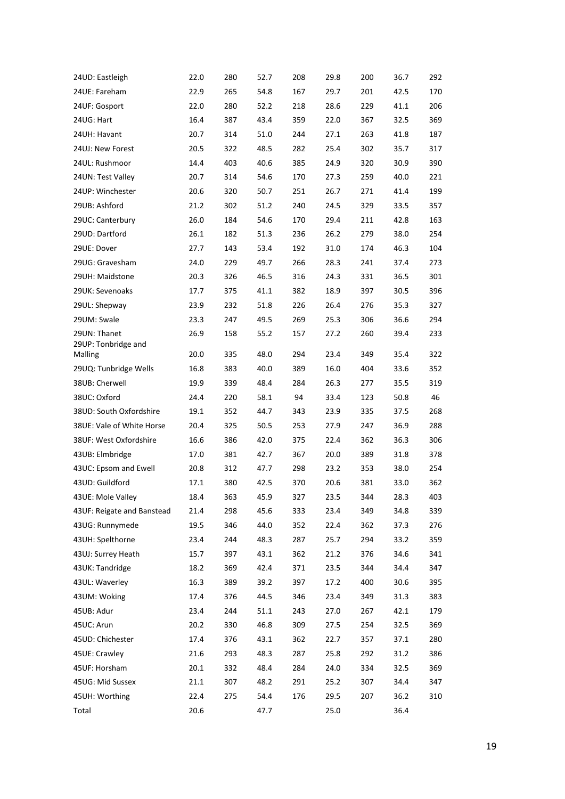| 24UD: Eastleigh            | 22.0 | 280 | 52.7 | 208 | 29.8 | 200 | 36.7 | 292 |
|----------------------------|------|-----|------|-----|------|-----|------|-----|
| 24UE: Fareham              | 22.9 | 265 | 54.8 | 167 | 29.7 | 201 | 42.5 | 170 |
| 24UF: Gosport              | 22.0 | 280 | 52.2 | 218 | 28.6 | 229 | 41.1 | 206 |
| 24UG: Hart                 | 16.4 | 387 | 43.4 | 359 | 22.0 | 367 | 32.5 | 369 |
| 24UH: Havant               | 20.7 | 314 | 51.0 | 244 | 27.1 | 263 | 41.8 | 187 |
| 24UJ: New Forest           | 20.5 | 322 | 48.5 | 282 | 25.4 | 302 | 35.7 | 317 |
| 24UL: Rushmoor             | 14.4 | 403 | 40.6 | 385 | 24.9 | 320 | 30.9 | 390 |
| 24UN: Test Valley          | 20.7 | 314 | 54.6 | 170 | 27.3 | 259 | 40.0 | 221 |
| 24UP: Winchester           | 20.6 | 320 | 50.7 | 251 | 26.7 | 271 | 41.4 | 199 |
| 29UB: Ashford              | 21.2 | 302 | 51.2 | 240 | 24.5 | 329 | 33.5 | 357 |
| 29UC: Canterbury           | 26.0 | 184 | 54.6 | 170 | 29.4 | 211 | 42.8 | 163 |
| 29UD: Dartford             | 26.1 | 182 | 51.3 | 236 | 26.2 | 279 | 38.0 | 254 |
| 29UE: Dover                | 27.7 | 143 | 53.4 | 192 | 31.0 | 174 | 46.3 | 104 |
| 29UG: Gravesham            | 24.0 | 229 | 49.7 | 266 | 28.3 | 241 | 37.4 | 273 |
| 29UH: Maidstone            | 20.3 | 326 | 46.5 | 316 | 24.3 | 331 | 36.5 | 301 |
| 29UK: Sevenoaks            | 17.7 | 375 | 41.1 | 382 | 18.9 | 397 | 30.5 | 396 |
| 29UL: Shepway              | 23.9 | 232 | 51.8 | 226 | 26.4 | 276 | 35.3 | 327 |
| 29UM: Swale                | 23.3 | 247 | 49.5 | 269 | 25.3 | 306 | 36.6 | 294 |
| 29UN: Thanet               | 26.9 | 158 | 55.2 | 157 | 27.2 | 260 | 39.4 | 233 |
| 29UP: Tonbridge and        |      |     |      |     |      |     |      |     |
| Malling                    | 20.0 | 335 | 48.0 | 294 | 23.4 | 349 | 35.4 | 322 |
| 29UQ: Tunbridge Wells      | 16.8 | 383 | 40.0 | 389 | 16.0 | 404 | 33.6 | 352 |
| 38UB: Cherwell             | 19.9 | 339 | 48.4 | 284 | 26.3 | 277 | 35.5 | 319 |
| 38UC: Oxford               | 24.4 | 220 | 58.1 | 94  | 33.4 | 123 | 50.8 | 46  |
| 38UD: South Oxfordshire    | 19.1 | 352 | 44.7 | 343 | 23.9 | 335 | 37.5 | 268 |
| 38UE: Vale of White Horse  | 20.4 | 325 | 50.5 | 253 | 27.9 | 247 | 36.9 | 288 |
| 38UF: West Oxfordshire     | 16.6 | 386 | 42.0 | 375 | 22.4 | 362 | 36.3 | 306 |
| 43UB: Elmbridge            | 17.0 | 381 | 42.7 | 367 | 20.0 | 389 | 31.8 | 378 |
| 43UC: Epsom and Ewell      | 20.8 | 312 | 47.7 | 298 | 23.2 | 353 | 38.0 | 254 |
| 43UD: Guildford            | 17.1 | 380 | 42.5 | 370 | 20.6 | 381 | 33.0 | 362 |
| 43UE: Mole Valley          | 18.4 | 363 | 45.9 | 327 | 23.5 | 344 | 28.3 | 403 |
| 43UF: Reigate and Banstead | 21.4 | 298 | 45.6 | 333 | 23.4 | 349 | 34.8 | 339 |
| 43UG: Runnymede            | 19.5 | 346 | 44.0 | 352 | 22.4 | 362 | 37.3 | 276 |
| 43UH: Spelthorne           | 23.4 | 244 | 48.3 | 287 | 25.7 | 294 | 33.2 | 359 |
| 43UJ: Surrey Heath         | 15.7 | 397 | 43.1 | 362 | 21.2 | 376 | 34.6 | 341 |
| 43UK: Tandridge            | 18.2 | 369 | 42.4 | 371 | 23.5 | 344 | 34.4 | 347 |
| 43UL: Waverley             | 16.3 | 389 | 39.2 | 397 | 17.2 | 400 | 30.6 | 395 |
| 43UM: Woking               | 17.4 | 376 | 44.5 | 346 | 23.4 | 349 | 31.3 | 383 |
| 45UB: Adur                 | 23.4 | 244 | 51.1 | 243 | 27.0 | 267 | 42.1 | 179 |
| 45UC: Arun                 | 20.2 | 330 | 46.8 | 309 | 27.5 | 254 | 32.5 | 369 |
| 45UD: Chichester           | 17.4 | 376 | 43.1 | 362 | 22.7 | 357 | 37.1 | 280 |
| 45UE: Crawley              | 21.6 | 293 | 48.3 | 287 | 25.8 | 292 | 31.2 | 386 |
| 45UF: Horsham              | 20.1 | 332 | 48.4 | 284 | 24.0 | 334 | 32.5 | 369 |
| 45UG: Mid Sussex           | 21.1 | 307 | 48.2 | 291 | 25.2 | 307 | 34.4 | 347 |
| 45UH: Worthing             | 22.4 | 275 | 54.4 | 176 | 29.5 | 207 | 36.2 | 310 |
| Total                      | 20.6 |     | 47.7 |     | 25.0 |     | 36.4 |     |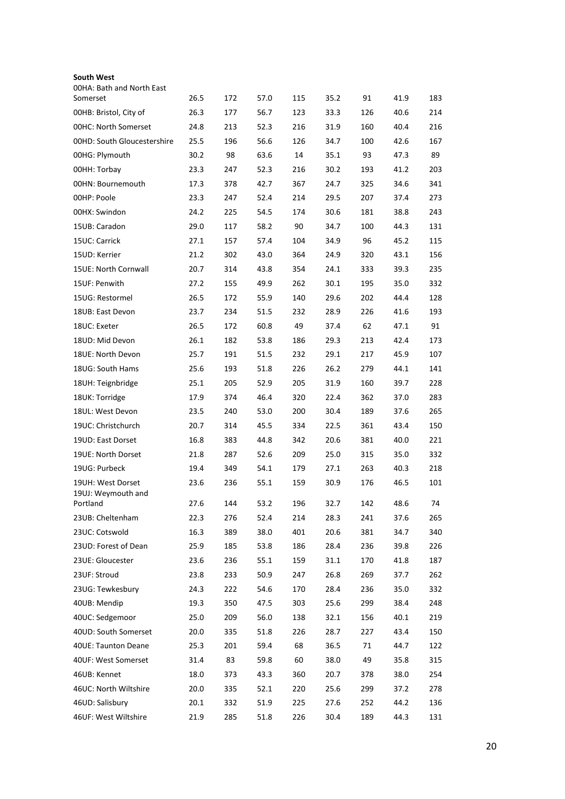| <b>South West</b><br><b>OOHA: Bath and North East</b> |      |     |      |     |      |     |      |     |
|-------------------------------------------------------|------|-----|------|-----|------|-----|------|-----|
| Somerset                                              | 26.5 | 172 | 57.0 | 115 | 35.2 | 91  | 41.9 | 183 |
| 00HB: Bristol, City of                                | 26.3 | 177 | 56.7 | 123 | 33.3 | 126 | 40.6 | 214 |
| <b>00HC: North Somerset</b>                           | 24.8 | 213 | 52.3 | 216 | 31.9 | 160 | 40.4 | 216 |
| 00HD: South Gloucestershire                           | 25.5 | 196 | 56.6 | 126 | 34.7 | 100 | 42.6 | 167 |
| 00HG: Plymouth                                        | 30.2 | 98  | 63.6 | 14  | 35.1 | 93  | 47.3 | 89  |
| OOHH: Torbay                                          | 23.3 | 247 | 52.3 | 216 | 30.2 | 193 | 41.2 | 203 |
| 00HN: Bournemouth                                     | 17.3 | 378 | 42.7 | 367 | 24.7 | 325 | 34.6 | 341 |
| 00HP: Poole                                           | 23.3 | 247 | 52.4 | 214 | 29.5 | 207 | 37.4 | 273 |
| 00HX: Swindon                                         | 24.2 | 225 | 54.5 | 174 | 30.6 | 181 | 38.8 | 243 |
| 15UB: Caradon                                         | 29.0 | 117 | 58.2 | 90  | 34.7 | 100 | 44.3 | 131 |
| 15UC: Carrick                                         | 27.1 | 157 | 57.4 | 104 | 34.9 | 96  | 45.2 | 115 |
| 15UD: Kerrier                                         | 21.2 | 302 | 43.0 | 364 | 24.9 | 320 | 43.1 | 156 |
| 15UE: North Cornwall                                  | 20.7 | 314 | 43.8 | 354 | 24.1 | 333 | 39.3 | 235 |
| 15UF: Penwith                                         | 27.2 | 155 | 49.9 | 262 | 30.1 | 195 | 35.0 | 332 |
| 15UG: Restormel                                       | 26.5 | 172 | 55.9 | 140 | 29.6 | 202 | 44.4 | 128 |
| 18UB: East Devon                                      | 23.7 | 234 | 51.5 | 232 | 28.9 | 226 | 41.6 | 193 |
| 18UC: Exeter                                          | 26.5 | 172 | 60.8 | 49  | 37.4 | 62  | 47.1 | 91  |
| 18UD: Mid Devon                                       | 26.1 | 182 | 53.8 | 186 | 29.3 | 213 | 42.4 | 173 |
| 18UE: North Devon                                     | 25.7 | 191 | 51.5 | 232 | 29.1 | 217 | 45.9 | 107 |
| 18UG: South Hams                                      | 25.6 | 193 | 51.8 | 226 | 26.2 | 279 | 44.1 | 141 |
| 18UH: Teignbridge                                     | 25.1 | 205 | 52.9 | 205 | 31.9 | 160 | 39.7 | 228 |
| 18UK: Torridge                                        | 17.9 | 374 | 46.4 | 320 | 22.4 | 362 | 37.0 | 283 |
| 18UL: West Devon                                      | 23.5 | 240 | 53.0 | 200 | 30.4 | 189 | 37.6 | 265 |
| 19UC: Christchurch                                    | 20.7 | 314 | 45.5 | 334 | 22.5 | 361 | 43.4 | 150 |
| 19UD: East Dorset                                     | 16.8 | 383 | 44.8 | 342 | 20.6 | 381 | 40.0 | 221 |
| 19UE: North Dorset                                    | 21.8 | 287 | 52.6 | 209 | 25.0 | 315 | 35.0 | 332 |
| 19UG: Purbeck                                         | 19.4 | 349 | 54.1 | 179 | 27.1 | 263 | 40.3 | 218 |
| 19UH: West Dorset<br>19UJ: Weymouth and               | 23.6 | 236 | 55.1 | 159 | 30.9 | 176 | 46.5 | 101 |
| Portland                                              | 27.6 | 144 | 53.2 | 196 | 32.7 | 142 | 48.6 | 74  |
| 23UB: Cheltenham                                      | 22.3 | 276 | 52.4 | 214 | 28.3 | 241 | 37.6 | 265 |
| 23UC: Cotswold                                        | 16.3 | 389 | 38.0 | 401 | 20.6 | 381 | 34.7 | 340 |
| 23UD: Forest of Dean                                  | 25.9 | 185 | 53.8 | 186 | 28.4 | 236 | 39.8 | 226 |
| 23UE: Gloucester                                      | 23.6 | 236 | 55.1 | 159 | 31.1 | 170 | 41.8 | 187 |
| 23UF: Stroud                                          | 23.8 | 233 | 50.9 | 247 | 26.8 | 269 | 37.7 | 262 |
| 23UG: Tewkesbury                                      | 24.3 | 222 | 54.6 | 170 | 28.4 | 236 | 35.0 | 332 |
| 40UB: Mendip                                          | 19.3 | 350 | 47.5 | 303 | 25.6 | 299 | 38.4 | 248 |
| 40UC: Sedgemoor                                       | 25.0 | 209 | 56.0 | 138 | 32.1 | 156 | 40.1 | 219 |
| 40UD: South Somerset                                  | 20.0 | 335 | 51.8 | 226 | 28.7 | 227 | 43.4 | 150 |
| 40UE: Taunton Deane                                   | 25.3 | 201 | 59.4 | 68  | 36.5 | 71  | 44.7 | 122 |
| 40UF: West Somerset                                   | 31.4 | 83  | 59.8 | 60  | 38.0 | 49  | 35.8 | 315 |
| 46UB: Kennet                                          | 18.0 | 373 | 43.3 | 360 | 20.7 | 378 | 38.0 | 254 |
| 46UC: North Wiltshire                                 | 20.0 | 335 | 52.1 | 220 | 25.6 | 299 | 37.2 | 278 |
| 46UD: Salisbury                                       | 20.1 | 332 | 51.9 | 225 | 27.6 | 252 | 44.2 | 136 |
| 46UF: West Wiltshire                                  | 21.9 | 285 | 51.8 | 226 | 30.4 | 189 | 44.3 | 131 |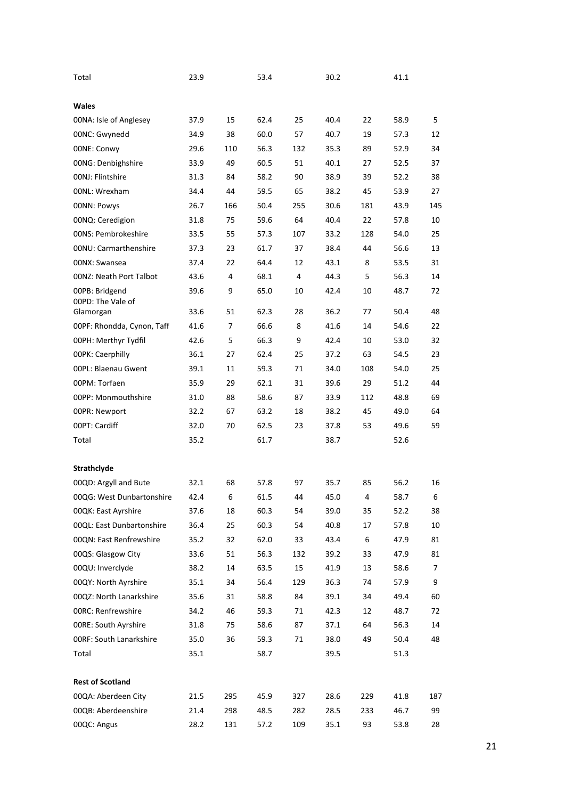| Total                          | 23.9 |     | 53.4 |     | 30.2 |     | 41.1 |     |
|--------------------------------|------|-----|------|-----|------|-----|------|-----|
| <b>Wales</b>                   |      |     |      |     |      |     |      |     |
| 00NA: Isle of Anglesey         | 37.9 | 15  | 62.4 | 25  | 40.4 | 22  | 58.9 | 5   |
| 00NC: Gwynedd                  | 34.9 | 38  | 60.0 | 57  | 40.7 | 19  | 57.3 | 12  |
| 00NE: Conwy                    | 29.6 | 110 | 56.3 | 132 | 35.3 | 89  | 52.9 | 34  |
| 00NG: Denbighshire             | 33.9 | 49  | 60.5 | 51  | 40.1 | 27  | 52.5 | 37  |
| 00NJ: Flintshire               | 31.3 | 84  | 58.2 | 90  | 38.9 | 39  | 52.2 | 38  |
| 00NL: Wrexham                  | 34.4 | 44  | 59.5 | 65  | 38.2 | 45  | 53.9 | 27  |
| 00NN: Powys                    | 26.7 | 166 | 50.4 | 255 | 30.6 | 181 | 43.9 | 145 |
| 00NQ: Ceredigion               | 31.8 | 75  | 59.6 | 64  | 40.4 | 22  | 57.8 | 10  |
| 00NS: Pembrokeshire            | 33.5 | 55  | 57.3 | 107 | 33.2 | 128 | 54.0 | 25  |
| 00NU: Carmarthenshire          | 37.3 | 23  | 61.7 | 37  | 38.4 | 44  | 56.6 | 13  |
| 00NX: Swansea                  | 37.4 | 22  | 64.4 | 12  | 43.1 | 8   | 53.5 | 31  |
| 00NZ: Neath Port Talbot        | 43.6 | 4   | 68.1 | 4   | 44.3 | 5   | 56.3 | 14  |
| 00PB: Bridgend                 | 39.6 | 9   | 65.0 | 10  | 42.4 | 10  | 48.7 | 72  |
| 00PD: The Vale of              |      |     |      |     |      |     |      |     |
| Glamorgan                      | 33.6 | 51  | 62.3 | 28  | 36.2 | 77  | 50.4 | 48  |
| 00PF: Rhondda, Cynon, Taff     | 41.6 | 7   | 66.6 | 8   | 41.6 | 14  | 54.6 | 22  |
| 00PH: Merthyr Tydfil           | 42.6 | 5   | 66.3 | 9   | 42.4 | 10  | 53.0 | 32  |
| <b>00PK: Caerphilly</b>        | 36.1 | 27  | 62.4 | 25  | 37.2 | 63  | 54.5 | 23  |
| 00PL: Blaenau Gwent            | 39.1 | 11  | 59.3 | 71  | 34.0 | 108 | 54.0 | 25  |
| 00PM: Torfaen                  | 35.9 | 29  | 62.1 | 31  | 39.6 | 29  | 51.2 | 44  |
| 00PP: Monmouthshire            | 31.0 | 88  | 58.6 | 87  | 33.9 | 112 | 48.8 | 69  |
| 00PR: Newport                  | 32.2 | 67  | 63.2 | 18  | 38.2 | 45  | 49.0 | 64  |
| 00PT: Cardiff                  | 32.0 | 70  | 62.5 | 23  | 37.8 | 53  | 49.6 | 59  |
| Total                          | 35.2 |     | 61.7 |     | 38.7 |     | 52.6 |     |
| Strathclyde                    |      |     |      |     |      |     |      |     |
| 00QD: Argyll and Bute          | 32.1 | 68  | 57.8 | 97  | 35.7 | 85  | 56.2 | 16  |
| 00QG: West Dunbartonshire      | 42.4 | 6   | 61.5 | 44  | 45.0 | 4   | 58.7 | 6   |
| 00QK: East Ayrshire            | 37.6 | 18  | 60.3 | 54  | 39.0 | 35  | 52.2 | 38  |
| 00QL: East Dunbartonshire      | 36.4 | 25  | 60.3 | 54  | 40.8 | 17  | 57.8 | 10  |
| 00QN: East Renfrewshire        | 35.2 | 32  | 62.0 | 33  | 43.4 | 6   | 47.9 | 81  |
| 00QS: Glasgow City             | 33.6 | 51  | 56.3 | 132 | 39.2 | 33  | 47.9 | 81  |
| 00QU: Inverclyde               | 38.2 | 14  | 63.5 | 15  | 41.9 | 13  | 58.6 | 7   |
| 00QY: North Ayrshire           | 35.1 | 34  | 56.4 | 129 | 36.3 | 74  | 57.9 | 9   |
| 00QZ: North Lanarkshire        | 35.6 | 31  | 58.8 | 84  | 39.1 | 34  | 49.4 | 60  |
| <b>00RC: Renfrewshire</b>      | 34.2 | 46  | 59.3 | 71  | 42.3 | 12  | 48.7 | 72  |
| <b>OORE: South Ayrshire</b>    | 31.8 | 75  | 58.6 | 87  | 37.1 | 64  | 56.3 | 14  |
| <b>00RF: South Lanarkshire</b> | 35.0 | 36  | 59.3 | 71  | 38.0 | 49  | 50.4 | 48  |
| Total                          | 35.1 |     | 58.7 |     | 39.5 |     | 51.3 |     |
|                                |      |     |      |     |      |     |      |     |
| <b>Rest of Scotland</b>        |      |     |      |     |      |     |      |     |
| 00QA: Aberdeen City            | 21.5 | 295 | 45.9 | 327 | 28.6 | 229 | 41.8 | 187 |
| 00QB: Aberdeenshire            | 21.4 | 298 | 48.5 | 282 | 28.5 | 233 | 46.7 | 99  |
| 00QC: Angus                    | 28.2 | 131 | 57.2 | 109 | 35.1 | 93  | 53.8 | 28  |